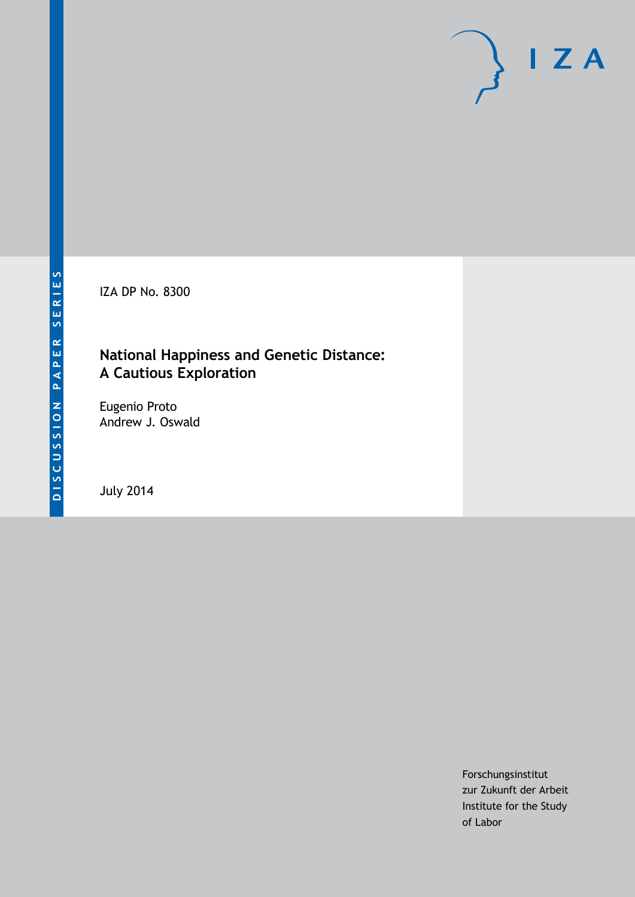IZA DP No. 8300

# **National Happiness and Genetic Distance: A Cautious Exploration**

Eugenio Proto Andrew J. Oswald

July 2014

Forschungsinstitut zur Zukunft der Arbeit Institute for the Study of Labor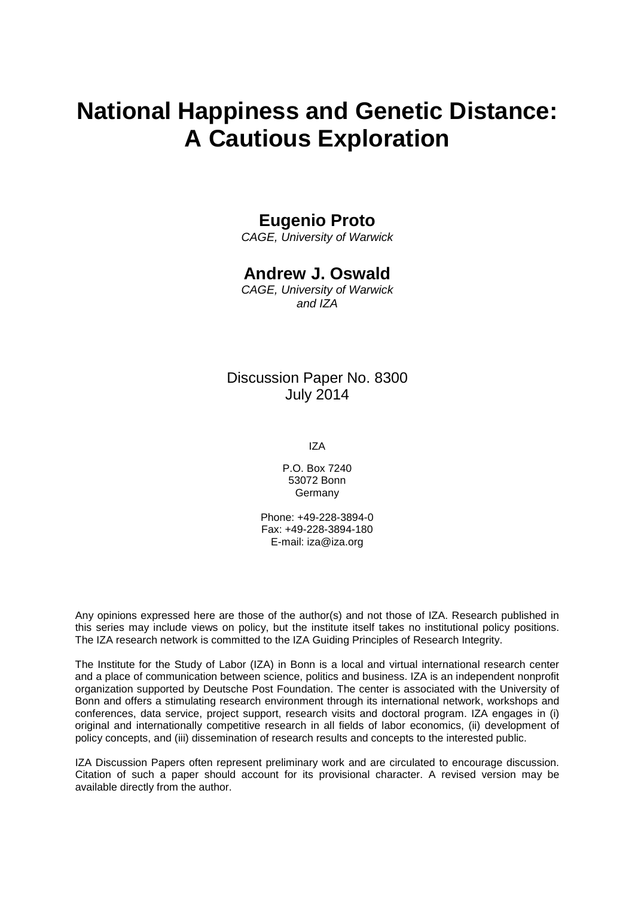# **National Happiness and Genetic Distance: A Cautious Exploration**

# **Eugenio Proto**

*CAGE, University of Warwick*

# **Andrew J. Oswald**

*CAGE, University of Warwick and IZA*

# Discussion Paper No. 8300 July 2014

IZA

P.O. Box 7240 53072 Bonn Germany

Phone: +49-228-3894-0 Fax: +49-228-3894-180 E-mail: [iza@iza.org](mailto:iza@iza.org)

Any opinions expressed here are those of the author(s) and not those of IZA. Research published in this series may include views on policy, but the institute itself takes no institutional policy positions. The IZA research network is committed to the IZA Guiding Principles of Research Integrity.

The Institute for the Study of Labor (IZA) in Bonn is a local and virtual international research center and a place of communication between science, politics and business. IZA is an independent nonprofit organization supported by Deutsche Post Foundation. The center is associated with the University of Bonn and offers a stimulating research environment through its international network, workshops and conferences, data service, project support, research visits and doctoral program. IZA engages in (i) original and internationally competitive research in all fields of labor economics, (ii) development of policy concepts, and (iii) dissemination of research results and concepts to the interested public.

<span id="page-1-0"></span>IZA Discussion Papers often represent preliminary work and are circulated to encourage discussion. Citation of such a paper should account for its provisional character. A revised version may be available directly from the author.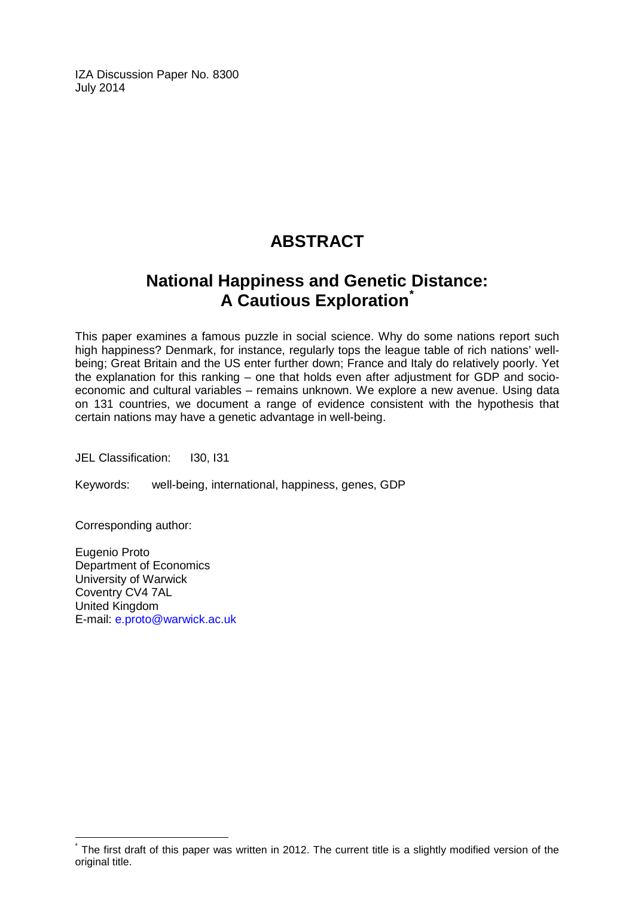IZA Discussion Paper No. 8300 July 2014

# **ABSTRACT**

# **National Happiness and Genetic Distance: A Cautious Exploration[\\*](#page-1-0)**

This paper examines a famous puzzle in social science. Why do some nations report such high happiness? Denmark, for instance, regularly tops the league table of rich nations' wellbeing; Great Britain and the US enter further down; France and Italy do relatively poorly. Yet the explanation for this ranking – one that holds even after adjustment for GDP and socioeconomic and cultural variables – remains unknown. We explore a new avenue. Using data on 131 countries, we document a range of evidence consistent with the hypothesis that certain nations may have a genetic advantage in well-being.

JEL Classification: I30, I31

Keywords: well-being, international, happiness, genes, GDP

Corresponding author:

Eugenio Proto Department of Economics University of Warwick Coventry CV4 7AL United Kingdom E-mail: [e.proto@warwick.ac.uk](mailto:e.proto@warwick.ac.uk)

The first draft of this paper was written in 2012. The current title is a slightly modified version of the original title.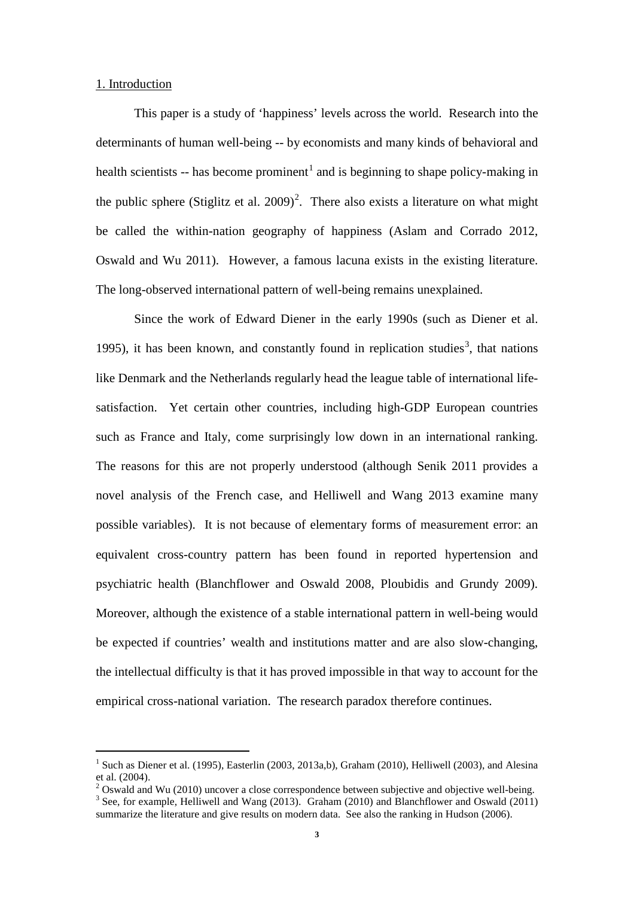#### 1. Introduction

This paper is a study of 'happiness' levels across the world. Research into the determinants of human well-being -- by economists and many kinds of behavioral and health scientists -- has become prominent<sup>1</sup> and is beginning to shape policy-making in the public sphere (Stiglitz et al. [2](#page-3-0)009)<sup>2</sup>. There also exists a literature on what might be called the within-nation geography of happiness (Aslam and Corrado 2012, Oswald and Wu 2011). However, a famous lacuna exists in the existing literature. The long-observed international pattern of well-being remains unexplained.

Since the work of Edward Diener in the early 1990s (such as Diener et al. 1995), it has been known, and constantly found in replication studies<sup>[3](#page-3-1)</sup>, that nations like Denmark and the Netherlands regularly head the league table of international lifesatisfaction. Yet certain other countries, including high-GDP European countries such as France and Italy, come surprisingly low down in an international ranking. The reasons for this are not properly understood (although Senik 2011 provides a novel analysis of the French case, and Helliwell and Wang 2013 examine many possible variables). It is not because of elementary forms of measurement error: an equivalent cross-country pattern has been found in reported hypertension and psychiatric health (Blanchflower and Oswald 2008, Ploubidis and Grundy 2009). Moreover, although the existence of a stable international pattern in well-being would be expected if countries' wealth and institutions matter and are also slow-changing, the intellectual difficulty is that it has proved impossible in that way to account for the empirical cross-national variation. The research paradox therefore continues.

<span id="page-3-2"></span><sup>&</sup>lt;sup>1</sup> Such as Diener et al. (1995), Easterlin (2003, 2013a,b), Graham (2010), Helliwell (2003), and Alesina et al. (2004).<br><sup>2</sup> Oswald and Wu (2010) uncover a close correspondence between subjective and objective well-being.<br><sup>3</sup> See, for example, Helliwell and Wang (2013). Graham (2010) and Blanchflower and Oswald (2011)

<span id="page-3-1"></span><span id="page-3-0"></span>summarize the literature and give results on modern data. See also the ranking in Hudson (2006).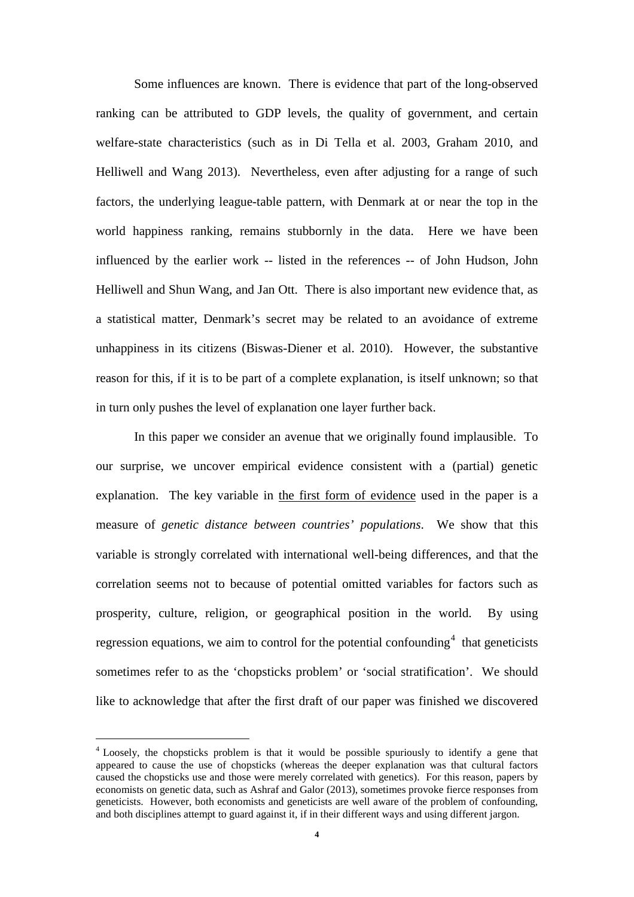Some influences are known. There is evidence that part of the long-observed ranking can be attributed to GDP levels, the quality of government, and certain welfare-state characteristics (such as in Di Tella et al. 2003, Graham 2010, and Helliwell and Wang 2013). Nevertheless, even after adjusting for a range of such factors, the underlying league-table pattern, with Denmark at or near the top in the world happiness ranking, remains stubbornly in the data. Here we have been influenced by the earlier work -- listed in the references -- of John Hudson, John Helliwell and Shun Wang, and Jan Ott. There is also important new evidence that, as a statistical matter, Denmark's secret may be related to an avoidance of extreme unhappiness in its citizens (Biswas-Diener et al. 2010). However, the substantive reason for this, if it is to be part of a complete explanation, is itself unknown; so that in turn only pushes the level of explanation one layer further back.

In this paper we consider an avenue that we originally found implausible. To our surprise, we uncover empirical evidence consistent with a (partial) genetic explanation. The key variable in the first form of evidence used in the paper is a measure of *genetic distance between countries' populations*. We show that this variable is strongly correlated with international well-being differences, and that the correlation seems not to because of potential omitted variables for factors such as prosperity, culture, religion, or geographical position in the world. By using regression equations, we aim to control for the potential confounding  $4$  that geneticists sometimes refer to as the 'chopsticks problem' or 'social stratification'. We should like to acknowledge that after the first draft of our paper was finished we discovered

<span id="page-4-0"></span><sup>4</sup> Loosely, the chopsticks problem is that it would be possible spuriously to identify a gene that appeared to cause the use of chopsticks (whereas the deeper explanation was that cultural factors caused the chopsticks use and those were merely correlated with genetics). For this reason, papers by economists on genetic data, such as Ashraf and Galor (2013), sometimes provoke fierce responses from geneticists. However, both economists and geneticists are well aware of the problem of confounding, and both disciplines attempt to guard against it, if in their different ways and using different jargon.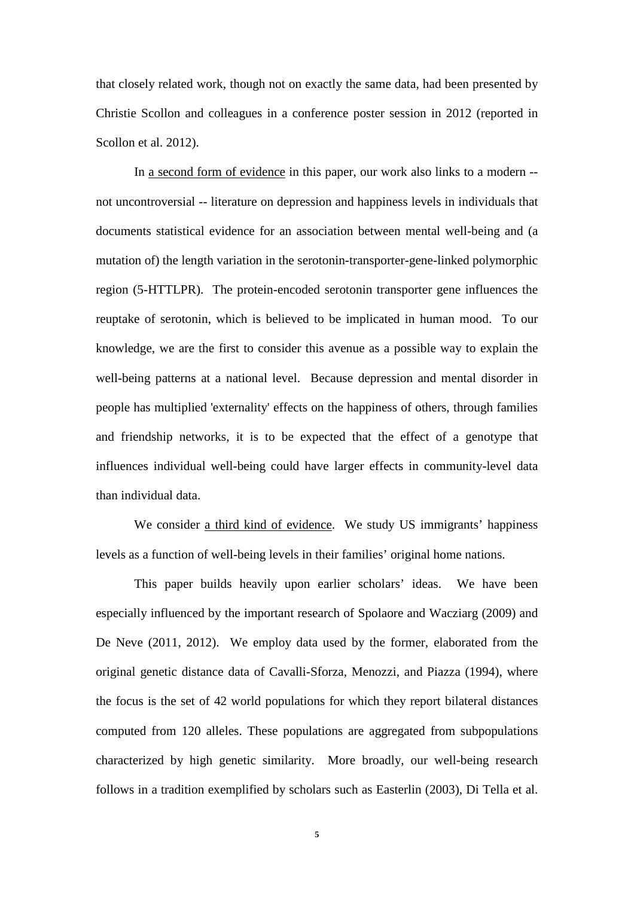that closely related work, though not on exactly the same data, had been presented by Christie Scollon and colleagues in a conference poster session in 2012 (reported in Scollon et al. 2012).

In a second form of evidence in this paper, our work also links to a modern - not uncontroversial -- literature on depression and happiness levels in individuals that documents statistical evidence for an association between mental well-being and (a mutation of) the length variation in the serotonin-transporter-gene-linked polymorphic region (5-HTTLPR). The protein-encoded serotonin transporter gene influences the reuptake of serotonin, which is believed to be implicated in human mood. To our knowledge, we are the first to consider this avenue as a possible way to explain the well-being patterns at a national level. Because depression and mental disorder in people has multiplied 'externality' effects on the happiness of others, through families and friendship networks, it is to be expected that the effect of a genotype that influences individual well-being could have larger effects in community-level data than individual data.

We consider a third kind of evidence. We study US immigrants' happiness levels as a function of well-being levels in their families' original home nations.

This paper builds heavily upon earlier scholars' ideas. We have been especially influenced by the important research of Spolaore and Wacziarg (2009) and De Neve (2011, 2012). We employ data used by the former, elaborated from the original genetic distance data of Cavalli-Sforza, Menozzi, and Piazza (1994), where the focus is the set of 42 world populations for which they report bilateral distances computed from 120 alleles. These populations are aggregated from subpopulations characterized by high genetic similarity. More broadly, our well-being research follows in a tradition exemplified by scholars such as Easterlin (2003), Di Tella et al.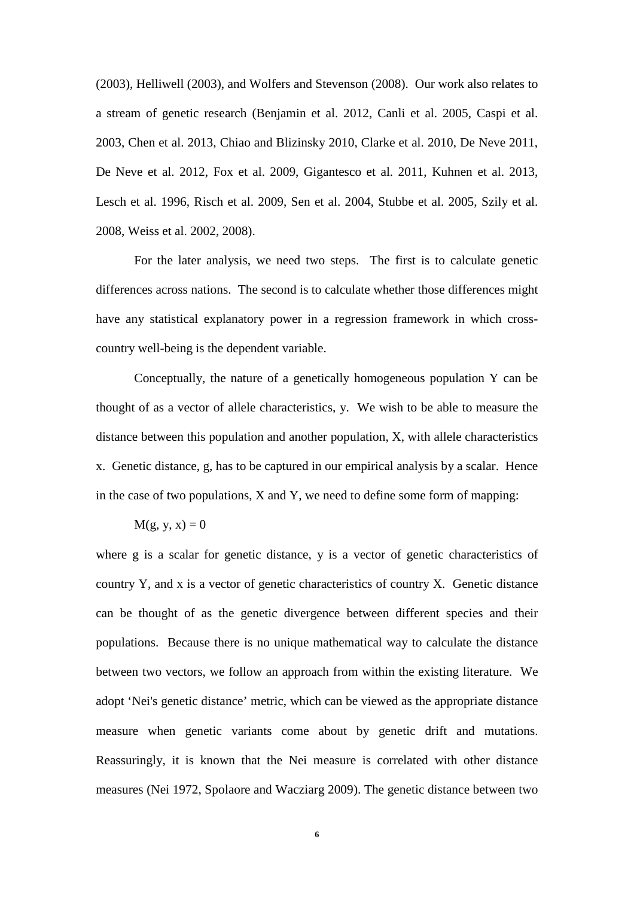(2003), Helliwell (2003), and Wolfers and Stevenson (2008). Our work also relates to a stream of genetic research (Benjamin et al. 2012, Canli et al. 2005, Caspi et al. 2003, Chen et al. 2013, Chiao and Blizinsky 2010, Clarke et al. 2010, De Neve 2011, De Neve et al. 2012, Fox et al. 2009, Gigantesco et al. 2011, Kuhnen et al. 2013, Lesch et al. 1996, Risch et al. 2009, Sen et al. 2004, Stubbe et al. 2005, Szily et al. 2008, Weiss et al. 2002, 2008).

For the later analysis, we need two steps. The first is to calculate genetic differences across nations. The second is to calculate whether those differences might have any statistical explanatory power in a regression framework in which crosscountry well-being is the dependent variable.

Conceptually, the nature of a genetically homogeneous population Y can be thought of as a vector of allele characteristics, y. We wish to be able to measure the distance between this population and another population, X, with allele characteristics x. Genetic distance, g, has to be captured in our empirical analysis by a scalar. Hence in the case of two populations, X and Y, we need to define some form of mapping:

#### $M(g, y, x) = 0$

where g is a scalar for genetic distance, y is a vector of genetic characteristics of country Y, and x is a vector of genetic characteristics of country X. Genetic distance can be thought of as the genetic divergence between different species and their populations. Because there is no unique mathematical way to calculate the distance between two vectors, we follow an approach from within the existing literature. We adopt 'Nei's genetic distance' metric, which can be viewed as the appropriate distance measure when genetic variants come about by genetic drift and mutations. Reassuringly, it is known that the Nei measure is correlated with other distance measures (Nei 1972, Spolaore and Wacziarg 2009). The genetic distance between two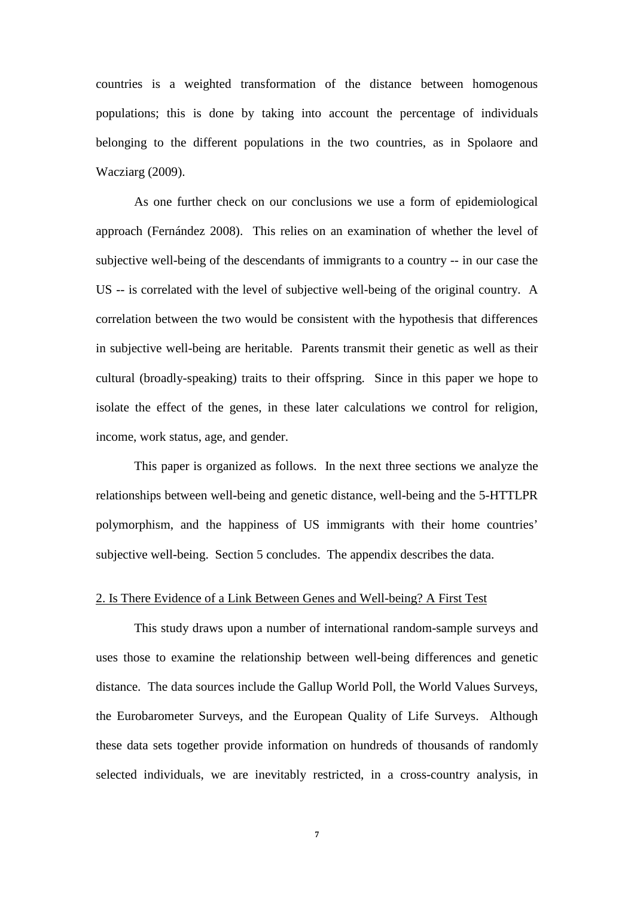countries is a weighted transformation of the distance between homogenous populations; this is done by taking into account the percentage of individuals belonging to the different populations in the two countries, as in Spolaore and Wacziarg (2009).

As one further check on our conclusions we use a form of epidemiological approach (Fernández 2008). This relies on an examination of whether the level of subjective well-being of the descendants of immigrants to a country -- in our case the US -- is correlated with the level of subjective well-being of the original country. A correlation between the two would be consistent with the hypothesis that differences in subjective well-being are heritable. Parents transmit their genetic as well as their cultural (broadly-speaking) traits to their offspring. Since in this paper we hope to isolate the effect of the genes, in these later calculations we control for religion, income, work status, age, and gender.

This paper is organized as follows. In the next three sections we analyze the relationships between well-being and genetic distance, well-being and the 5-HTTLPR polymorphism, and the happiness of US immigrants with their home countries' subjective well-being. Section 5 concludes. The appendix describes the data.

#### 2. Is There Evidence of a Link Between Genes and Well-being? A First Test

This study draws upon a number of international random-sample surveys and uses those to examine the relationship between well-being differences and genetic distance. The data sources include the Gallup World Poll, the World Values Surveys, the Eurobarometer Surveys, and the European Quality of Life Surveys. Although these data sets together provide information on hundreds of thousands of randomly selected individuals, we are inevitably restricted, in a cross-country analysis, in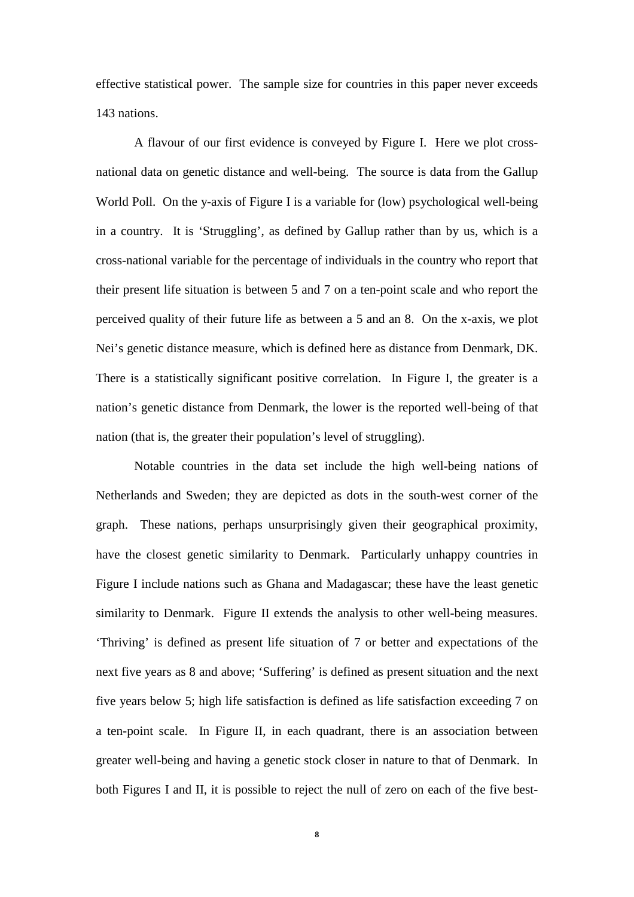effective statistical power. The sample size for countries in this paper never exceeds 143 nations.

A flavour of our first evidence is conveyed by Figure I. Here we plot crossnational data on genetic distance and well-being. The source is data from the Gallup World Poll. On the y-axis of Figure I is a variable for (low) psychological well-being in a country. It is 'Struggling', as defined by Gallup rather than by us, which is a cross-national variable for the percentage of individuals in the country who report that their present life situation is between 5 and 7 on a ten-point scale and who report the perceived quality of their future life as between a 5 and an 8. On the x-axis, we plot Nei's genetic distance measure, which is defined here as distance from Denmark, DK. There is a statistically significant positive correlation. In Figure I, the greater is a nation's genetic distance from Denmark, the lower is the reported well-being of that nation (that is, the greater their population's level of struggling).

Notable countries in the data set include the high well-being nations of Netherlands and Sweden; they are depicted as dots in the south-west corner of the graph. These nations, perhaps unsurprisingly given their geographical proximity, have the closest genetic similarity to Denmark. Particularly unhappy countries in Figure I include nations such as Ghana and Madagascar; these have the least genetic similarity to Denmark. Figure II extends the analysis to other well-being measures. 'Thriving' is defined as present life situation of 7 or better and expectations of the next five years as 8 and above; 'Suffering' is defined as present situation and the next five years below 5; high life satisfaction is defined as life satisfaction exceeding 7 on a ten-point scale. In Figure II, in each quadrant, there is an association between greater well-being and having a genetic stock closer in nature to that of Denmark. In both Figures I and II, it is possible to reject the null of zero on each of the five best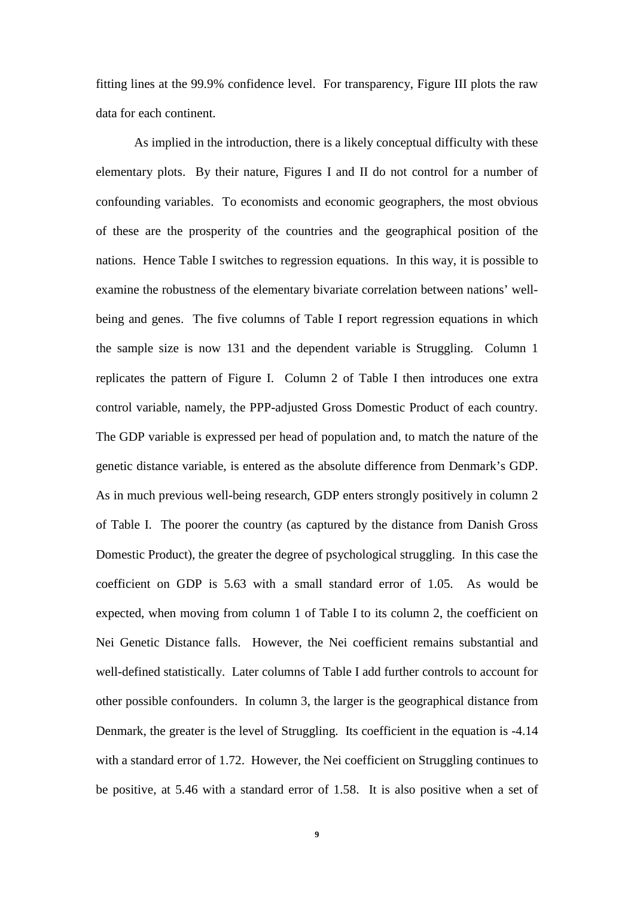fitting lines at the 99.9% confidence level. For transparency, Figure III plots the raw data for each continent.

As implied in the introduction, there is a likely conceptual difficulty with these elementary plots. By their nature, Figures I and II do not control for a number of confounding variables. To economists and economic geographers, the most obvious of these are the prosperity of the countries and the geographical position of the nations. Hence Table I switches to regression equations. In this way, it is possible to examine the robustness of the elementary bivariate correlation between nations' wellbeing and genes. The five columns of Table I report regression equations in which the sample size is now 131 and the dependent variable is Struggling. Column 1 replicates the pattern of Figure I. Column 2 of Table I then introduces one extra control variable, namely, the PPP-adjusted Gross Domestic Product of each country. The GDP variable is expressed per head of population and, to match the nature of the genetic distance variable, is entered as the absolute difference from Denmark's GDP. As in much previous well-being research, GDP enters strongly positively in column 2 of Table I. The poorer the country (as captured by the distance from Danish Gross Domestic Product), the greater the degree of psychological struggling. In this case the coefficient on GDP is 5.63 with a small standard error of 1.05. As would be expected, when moving from column 1 of Table I to its column 2, the coefficient on Nei Genetic Distance falls. However, the Nei coefficient remains substantial and well-defined statistically. Later columns of Table I add further controls to account for other possible confounders. In column 3, the larger is the geographical distance from Denmark, the greater is the level of Struggling. Its coefficient in the equation is -4.14 with a standard error of 1.72. However, the Nei coefficient on Struggling continues to be positive, at 5.46 with a standard error of 1.58. It is also positive when a set of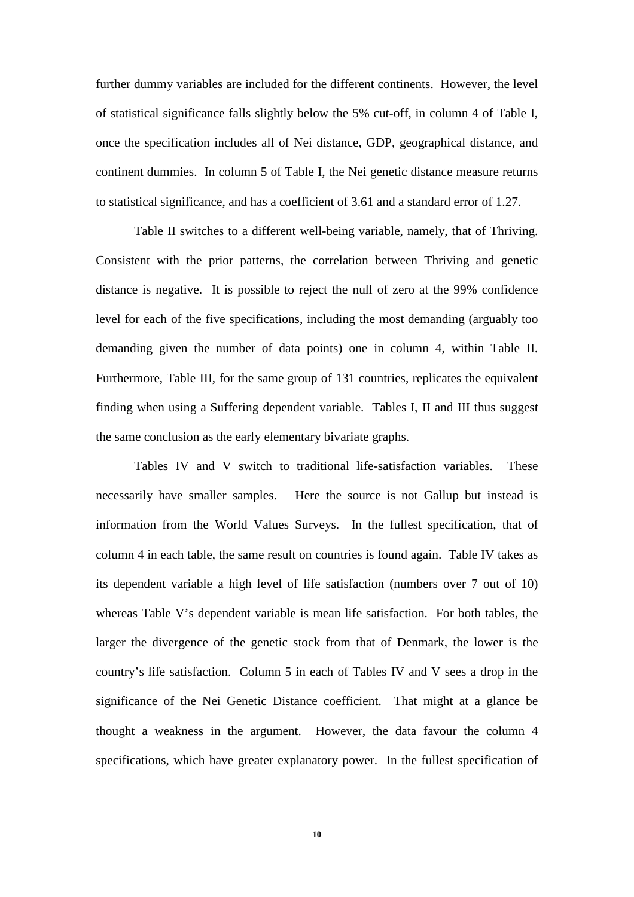further dummy variables are included for the different continents. However, the level of statistical significance falls slightly below the 5% cut-off, in column 4 of Table I, once the specification includes all of Nei distance, GDP, geographical distance, and continent dummies. In column 5 of Table I, the Nei genetic distance measure returns to statistical significance, and has a coefficient of 3.61 and a standard error of 1.27.

Table II switches to a different well-being variable, namely, that of Thriving. Consistent with the prior patterns, the correlation between Thriving and genetic distance is negative. It is possible to reject the null of zero at the 99% confidence level for each of the five specifications, including the most demanding (arguably too demanding given the number of data points) one in column 4, within Table II. Furthermore, Table III, for the same group of 131 countries, replicates the equivalent finding when using a Suffering dependent variable. Tables I, II and III thus suggest the same conclusion as the early elementary bivariate graphs.

Tables IV and V switch to traditional life-satisfaction variables. These necessarily have smaller samples. Here the source is not Gallup but instead is information from the World Values Surveys. In the fullest specification, that of column 4 in each table, the same result on countries is found again. Table IV takes as its dependent variable a high level of life satisfaction (numbers over 7 out of 10) whereas Table V's dependent variable is mean life satisfaction. For both tables, the larger the divergence of the genetic stock from that of Denmark, the lower is the country's life satisfaction. Column 5 in each of Tables IV and V sees a drop in the significance of the Nei Genetic Distance coefficient. That might at a glance be thought a weakness in the argument. However, the data favour the column 4 specifications, which have greater explanatory power. In the fullest specification of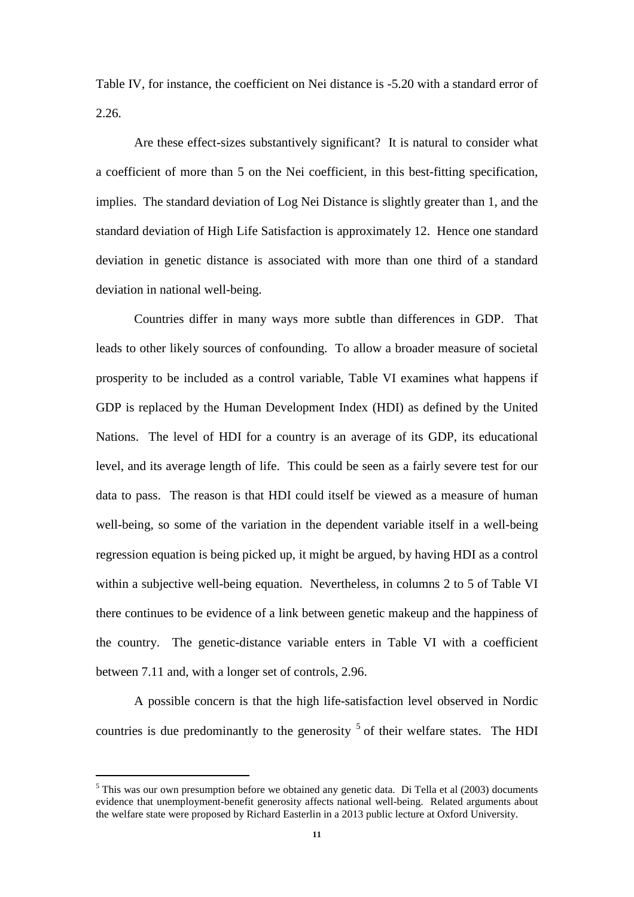Table IV, for instance, the coefficient on Nei distance is -5.20 with a standard error of 2.26.

Are these effect-sizes substantively significant? It is natural to consider what a coefficient of more than 5 on the Nei coefficient, in this best-fitting specification, implies. The standard deviation of Log Nei Distance is slightly greater than 1, and the standard deviation of High Life Satisfaction is approximately 12. Hence one standard deviation in genetic distance is associated with more than one third of a standard deviation in national well-being.

Countries differ in many ways more subtle than differences in GDP. That leads to other likely sources of confounding. To allow a broader measure of societal prosperity to be included as a control variable, Table VI examines what happens if GDP is replaced by the Human Development Index (HDI) as defined by the United Nations. The level of HDI for a country is an average of its GDP, its educational level, and its average length of life. This could be seen as a fairly severe test for our data to pass. The reason is that HDI could itself be viewed as a measure of human well-being, so some of the variation in the dependent variable itself in a well-being regression equation is being picked up, it might be argued, by having HDI as a control within a subjective well-being equation. Nevertheless, in columns 2 to 5 of Table VI there continues to be evidence of a link between genetic makeup and the happiness of the country. The genetic-distance variable enters in Table VI with a coefficient between 7.11 and, with a longer set of controls, 2.96.

A possible concern is that the high life-satisfaction level observed in Nordic countries is due predominantly to the generosity  $5$  of their welfare states. The HDI

<span id="page-11-0"></span><sup>&</sup>lt;sup>5</sup> This was our own presumption before we obtained any genetic data. Di Tella et al (2003) documents evidence that unemployment-benefit generosity affects national well-being. Related arguments about the welfare state were proposed by Richard Easterlin in a 2013 public lecture at Oxford University.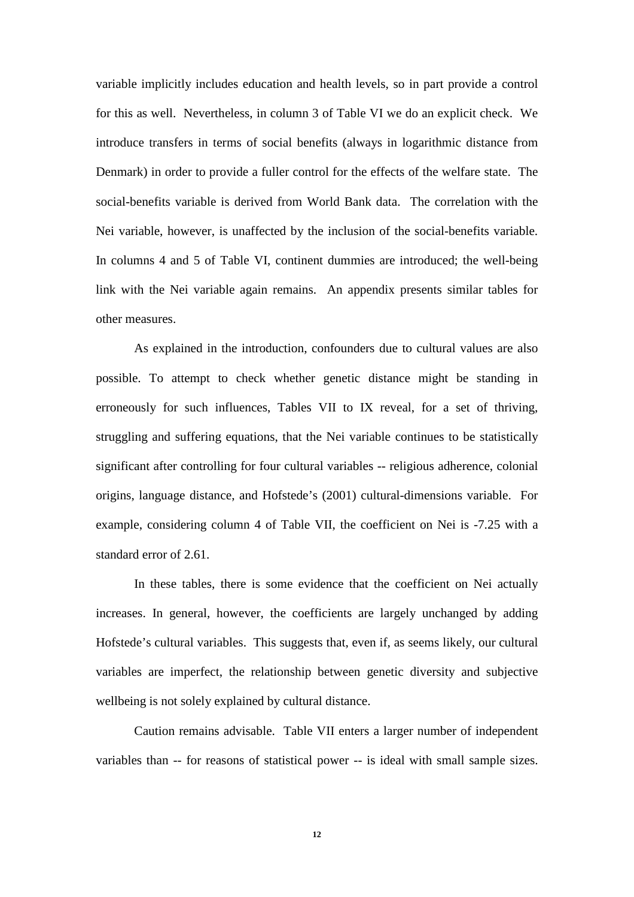variable implicitly includes education and health levels, so in part provide a control for this as well. Nevertheless, in column 3 of Table VI we do an explicit check. We introduce transfers in terms of social benefits (always in logarithmic distance from Denmark) in order to provide a fuller control for the effects of the welfare state. The social-benefits variable is derived from World Bank data. The correlation with the Nei variable, however, is unaffected by the inclusion of the social-benefits variable. In columns 4 and 5 of Table VI, continent dummies are introduced; the well-being link with the Nei variable again remains. An appendix presents similar tables for other measures.

As explained in the introduction, confounders due to cultural values are also possible. To attempt to check whether genetic distance might be standing in erroneously for such influences, Tables VII to IX reveal, for a set of thriving, struggling and suffering equations, that the Nei variable continues to be statistically significant after controlling for four cultural variables -- religious adherence, colonial origins, language distance, and Hofstede's (2001) cultural-dimensions variable. For example, considering column 4 of Table VII, the coefficient on Nei is -7.25 with a standard error of 2.61.

In these tables, there is some evidence that the coefficient on Nei actually increases. In general, however, the coefficients are largely unchanged by adding Hofstede's cultural variables. This suggests that, even if, as seems likely, our cultural variables are imperfect, the relationship between genetic diversity and subjective wellbeing is not solely explained by cultural distance.

Caution remains advisable. Table VII enters a larger number of independent variables than -- for reasons of statistical power -- is ideal with small sample sizes.

**12**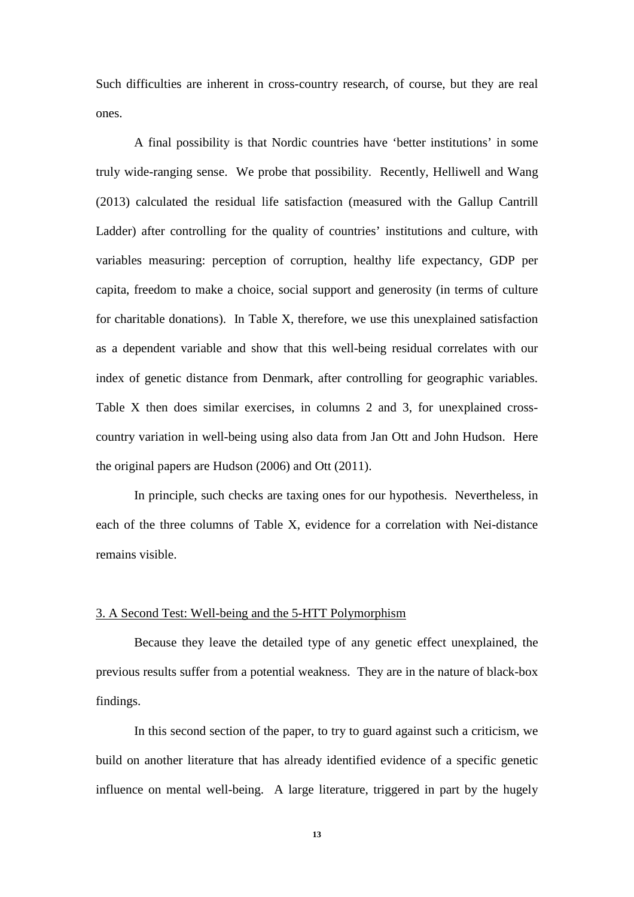Such difficulties are inherent in cross-country research, of course, but they are real ones.

A final possibility is that Nordic countries have 'better institutions' in some truly wide-ranging sense. We probe that possibility. Recently, Helliwell and Wang (2013) calculated the residual life satisfaction (measured with the Gallup Cantrill Ladder) after controlling for the quality of countries' institutions and culture, with variables measuring: perception of corruption, healthy life expectancy, GDP per capita, freedom to make a choice, social support and generosity (in terms of culture for charitable donations). In Table X, therefore, we use this unexplained satisfaction as a dependent variable and show that this well-being residual correlates with our index of genetic distance from Denmark, after controlling for geographic variables. Table X then does similar exercises, in columns 2 and 3, for unexplained crosscountry variation in well-being using also data from Jan Ott and John Hudson. Here the original papers are Hudson (2006) and Ott (2011).

In principle, such checks are taxing ones for our hypothesis. Nevertheless, in each of the three columns of Table X, evidence for a correlation with Nei-distance remains visible.

#### 3. A Second Test: Well-being and the 5-HTT Polymorphism

Because they leave the detailed type of any genetic effect unexplained, the previous results suffer from a potential weakness. They are in the nature of black-box findings.

In this second section of the paper, to try to guard against such a criticism, we build on another literature that has already identified evidence of a specific genetic influence on mental well-being. A large literature, triggered in part by the hugely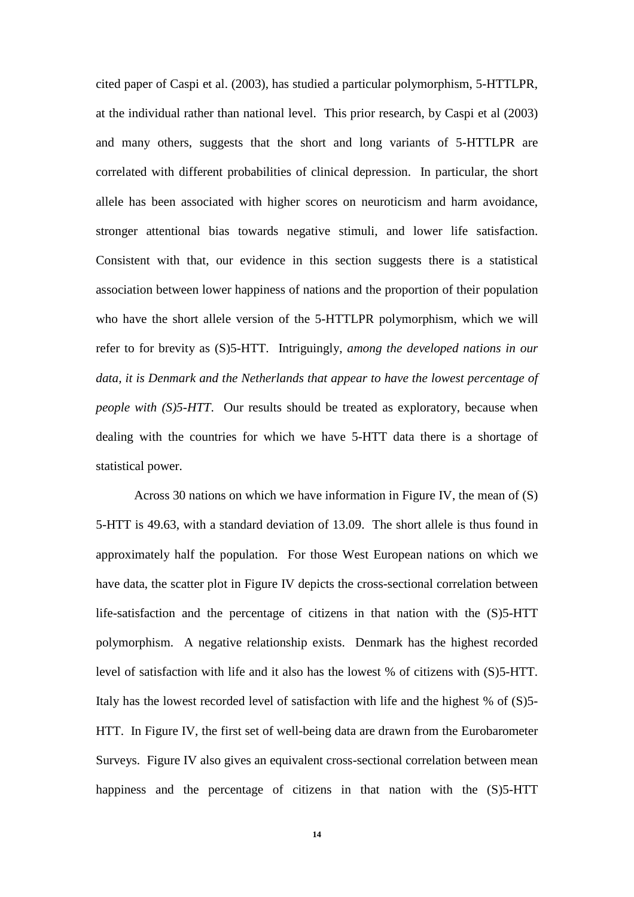cited paper of Caspi et al. (2003), has studied a particular polymorphism, 5-HTTLPR, at the individual rather than national level. This prior research, by Caspi et al (2003) and many others, suggests that the short and long variants of 5-HTTLPR are correlated with different probabilities of clinical depression. In particular, the short allele has been associated with higher scores on neuroticism and harm avoidance, stronger attentional bias towards negative stimuli, and lower life satisfaction. Consistent with that, our evidence in this section suggests there is a statistical association between lower happiness of nations and the proportion of their population who have the short allele version of the 5-HTTLPR polymorphism, which we will refer to for brevity as (S)5-HTT. Intriguingly, *among the developed nations in our data, it is Denmark and the Netherlands that appear to have the lowest percentage of people with (S)5-HTT*. Our results should be treated as exploratory, because when dealing with the countries for which we have 5-HTT data there is a shortage of statistical power.

Across 30 nations on which we have information in Figure IV, the mean of (S) 5-HTT is 49.63, with a standard deviation of 13.09. The short allele is thus found in approximately half the population. For those West European nations on which we have data, the scatter plot in Figure IV depicts the cross-sectional correlation between life-satisfaction and the percentage of citizens in that nation with the (S)5-HTT polymorphism. A negative relationship exists. Denmark has the highest recorded level of satisfaction with life and it also has the lowest % of citizens with (S)5-HTT. Italy has the lowest recorded level of satisfaction with life and the highest % of (S)5- HTT. In Figure IV, the first set of well-being data are drawn from the Eurobarometer Surveys. Figure IV also gives an equivalent cross-sectional correlation between mean happiness and the percentage of citizens in that nation with the (S)5-HTT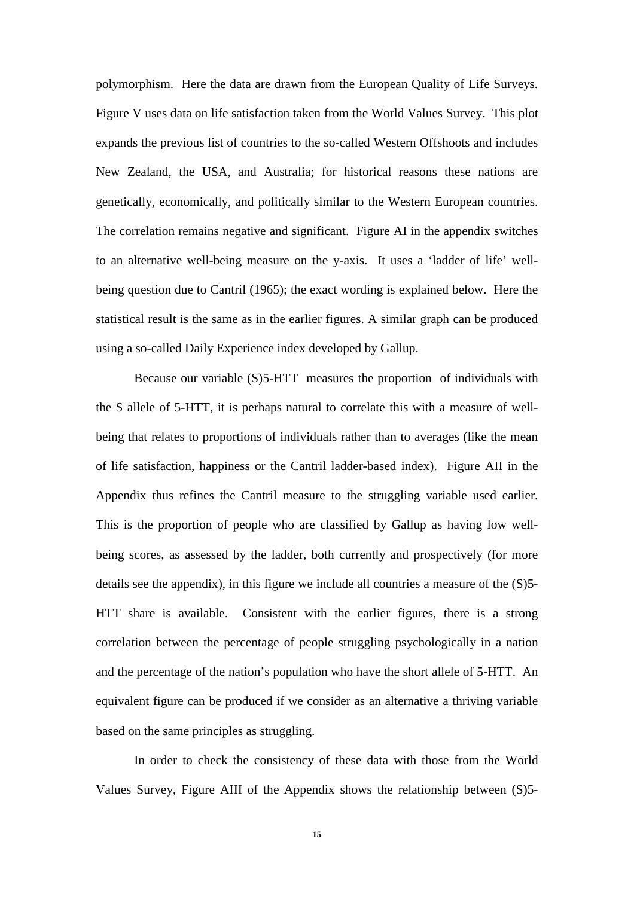polymorphism. Here the data are drawn from the European Quality of Life Surveys. Figure V uses data on life satisfaction taken from the World Values Survey. This plot expands the previous list of countries to the so-called Western Offshoots and includes New Zealand, the USA, and Australia; for historical reasons these nations are genetically, economically, and politically similar to the Western European countries. The correlation remains negative and significant. Figure AI in the appendix switches to an alternative well-being measure on the y-axis. It uses a 'ladder of life' wellbeing question due to Cantril (1965); the exact wording is explained below. Here the statistical result is the same as in the earlier figures. A similar graph can be produced using a so-called Daily Experience index developed by Gallup.

Because our variable (S)5-HTT measures the proportion of individuals with the S allele of 5-HTT, it is perhaps natural to correlate this with a measure of wellbeing that relates to proportions of individuals rather than to averages (like the mean of life satisfaction, happiness or the Cantril ladder-based index). Figure AII in the Appendix thus refines the Cantril measure to the struggling variable used earlier. This is the proportion of people who are classified by Gallup as having low wellbeing scores, as assessed by the ladder, both currently and prospectively (for more details see the appendix), in this figure we include all countries a measure of the (S)5- HTT share is available. Consistent with the earlier figures, there is a strong correlation between the percentage of people struggling psychologically in a nation and the percentage of the nation's population who have the short allele of 5-HTT. An equivalent figure can be produced if we consider as an alternative a thriving variable based on the same principles as struggling.

In order to check the consistency of these data with those from the World Values Survey, Figure AIII of the Appendix shows the relationship between (S)5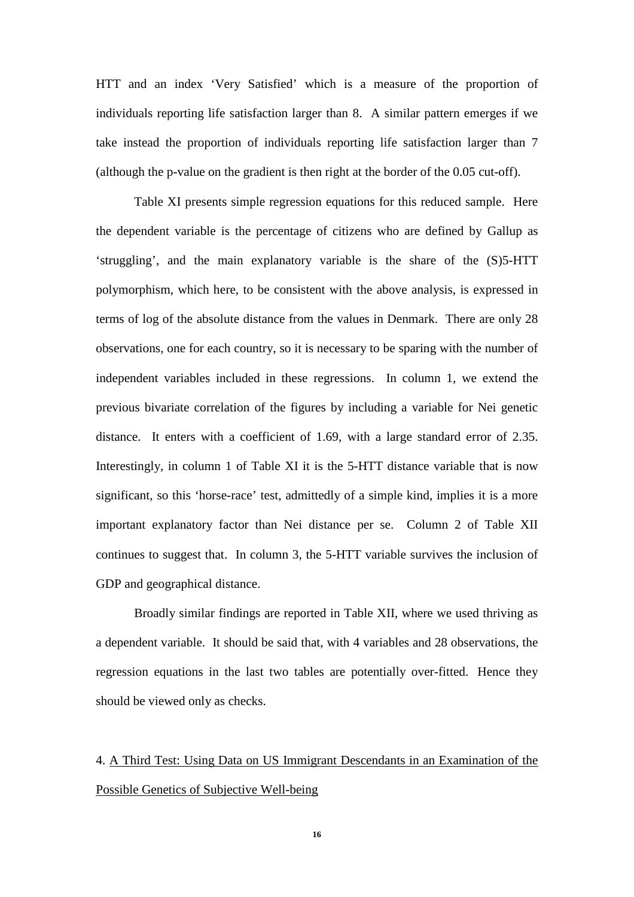HTT and an index 'Very Satisfied' which is a measure of the proportion of individuals reporting life satisfaction larger than 8. A similar pattern emerges if we take instead the proportion of individuals reporting life satisfaction larger than 7 (although the p-value on the gradient is then right at the border of the 0.05 cut-off).

Table XI presents simple regression equations for this reduced sample. Here the dependent variable is the percentage of citizens who are defined by Gallup as 'struggling', and the main explanatory variable is the share of the (S)5-HTT polymorphism, which here, to be consistent with the above analysis, is expressed in terms of log of the absolute distance from the values in Denmark. There are only 28 observations, one for each country, so it is necessary to be sparing with the number of independent variables included in these regressions. In column 1, we extend the previous bivariate correlation of the figures by including a variable for Nei genetic distance. It enters with a coefficient of 1.69, with a large standard error of 2.35. Interestingly, in column 1 of Table XI it is the 5-HTT distance variable that is now significant, so this 'horse-race' test, admittedly of a simple kind, implies it is a more important explanatory factor than Nei distance per se. Column 2 of Table XII continues to suggest that. In column 3, the 5-HTT variable survives the inclusion of GDP and geographical distance.

Broadly similar findings are reported in Table XII, where we used thriving as a dependent variable. It should be said that, with 4 variables and 28 observations, the regression equations in the last two tables are potentially over-fitted. Hence they should be viewed only as checks.

# 4. A Third Test: Using Data on US Immigrant Descendants in an Examination of the Possible Genetics of Subjective Well-being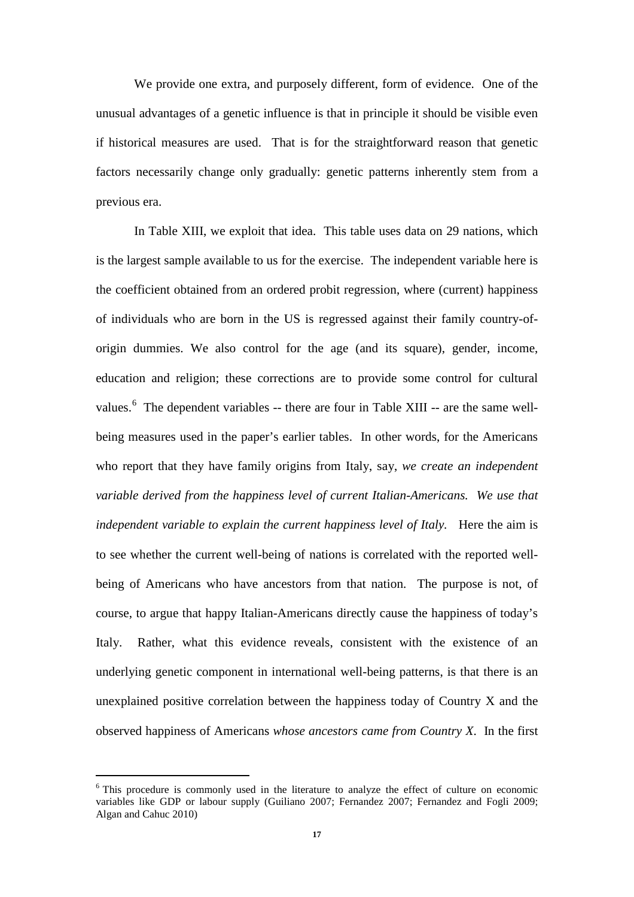We provide one extra, and purposely different, form of evidence. One of the unusual advantages of a genetic influence is that in principle it should be visible even if historical measures are used. That is for the straightforward reason that genetic factors necessarily change only gradually: genetic patterns inherently stem from a previous era.

In Table XIII, we exploit that idea. This table uses data on 29 nations, which is the largest sample available to us for the exercise. The independent variable here is the coefficient obtained from an ordered probit regression, where (current) happiness of individuals who are born in the US is regressed against their family country-oforigin dummies. We also control for the age (and its square), gender, income, education and religion; these corrections are to provide some control for cultural values.<sup>[6](#page-11-0)</sup> The dependent variables -- there are four in Table XIII -- are the same wellbeing measures used in the paper's earlier tables. In other words, for the Americans who report that they have family origins from Italy, say, *we create an independent variable derived from the happiness level of current Italian-Americans. We use that independent variable to explain the current happiness level of Italy.* Here the aim is to see whether the current well-being of nations is correlated with the reported wellbeing of Americans who have ancestors from that nation. The purpose is not, of course, to argue that happy Italian-Americans directly cause the happiness of today's Italy. Rather, what this evidence reveals, consistent with the existence of an underlying genetic component in international well-being patterns, is that there is an unexplained positive correlation between the happiness today of Country X and the observed happiness of Americans *whose ancestors came from Country X*. In the first

<span id="page-17-0"></span>

<sup>&</sup>lt;sup>6</sup> This procedure is commonly used in the literature to analyze the effect of culture on economic variables like GDP or labour supply (Guiliano 2007; Fernandez 2007; Fernandez and Fogli 2009; Algan and Cahuc 2010)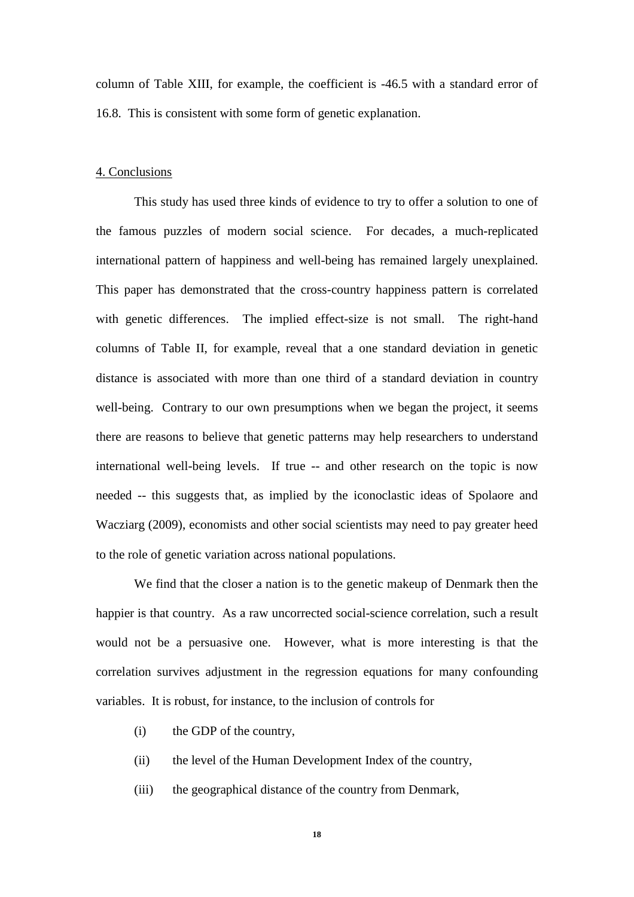column of Table XIII, for example, the coefficient is -46.5 with a standard error of 16.8. This is consistent with some form of genetic explanation.

#### 4. Conclusions

This study has used three kinds of evidence to try to offer a solution to one of the famous puzzles of modern social science. For decades, a much-replicated international pattern of happiness and well-being has remained largely unexplained. This paper has demonstrated that the cross-country happiness pattern is correlated with genetic differences. The implied effect-size is not small. The right-hand columns of Table II, for example, reveal that a one standard deviation in genetic distance is associated with more than one third of a standard deviation in country well-being. Contrary to our own presumptions when we began the project, it seems there are reasons to believe that genetic patterns may help researchers to understand international well-being levels. If true -- and other research on the topic is now needed -- this suggests that, as implied by the iconoclastic ideas of Spolaore and Wacziarg (2009), economists and other social scientists may need to pay greater heed to the role of genetic variation across national populations.

We find that the closer a nation is to the genetic makeup of Denmark then the happier is that country. As a raw uncorrected social-science correlation, such a result would not be a persuasive one. However, what is more interesting is that the correlation survives adjustment in the regression equations for many confounding variables. It is robust, for instance, to the inclusion of controls for

- (i) the GDP of the country,
- (ii) the level of the Human Development Index of the country,
- (iii) the geographical distance of the country from Denmark,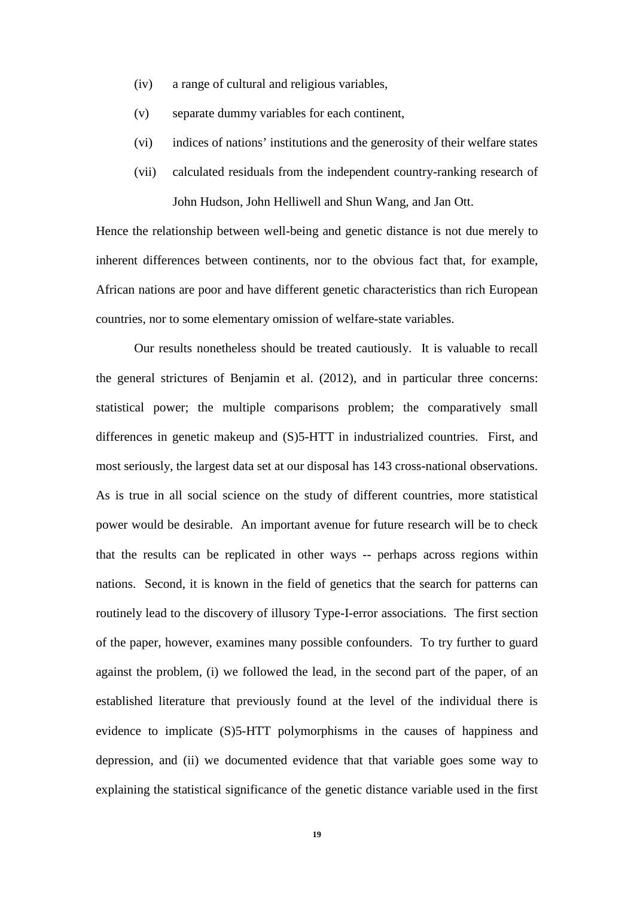- (iv) a range of cultural and religious variables,
- (v) separate dummy variables for each continent,
- (vi) indices of nations' institutions and the generosity of their welfare states
- (vii) calculated residuals from the independent country-ranking research of John Hudson, John Helliwell and Shun Wang, and Jan Ott.

Hence the relationship between well-being and genetic distance is not due merely to inherent differences between continents, nor to the obvious fact that, for example, African nations are poor and have different genetic characteristics than rich European countries, nor to some elementary omission of welfare-state variables.

Our results nonetheless should be treated cautiously. It is valuable to recall the general strictures of Benjamin et al. (2012), and in particular three concerns: statistical power; the multiple comparisons problem; the comparatively small differences in genetic makeup and (S)5-HTT in industrialized countries. First, and most seriously, the largest data set at our disposal has 143 cross-national observations. As is true in all social science on the study of different countries, more statistical power would be desirable. An important avenue for future research will be to check that the results can be replicated in other ways -- perhaps across regions within nations. Second, it is known in the field of genetics that the search for patterns can routinely lead to the discovery of illusory Type-I-error associations. The first section of the paper, however, examines many possible confounders. To try further to guard against the problem, (i) we followed the lead, in the second part of the paper, of an established literature that previously found at the level of the individual there is evidence to implicate (S)5-HTT polymorphisms in the causes of happiness and depression, and (ii) we documented evidence that that variable goes some way to explaining the statistical significance of the genetic distance variable used in the first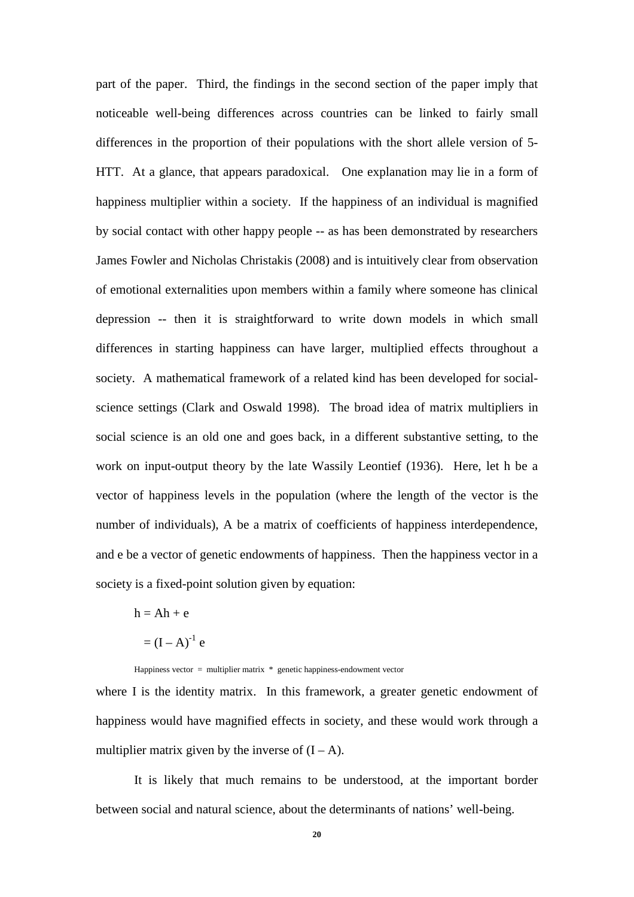part of the paper. Third, the findings in the second section of the paper imply that noticeable well-being differences across countries can be linked to fairly small differences in the proportion of their populations with the short allele version of 5- HTT. At a glance, that appears paradoxical. One explanation may lie in a form of happiness multiplier within a society. If the happiness of an individual is magnified by social contact with other happy people -- as has been demonstrated by researchers James Fowler and Nicholas Christakis (2008) and is intuitively clear from observation of emotional externalities upon members within a family where someone has clinical depression -- then it is straightforward to write down models in which small differences in starting happiness can have larger, multiplied effects throughout a society. A mathematical framework of a related kind has been developed for socialscience settings (Clark and Oswald 1998). The broad idea of matrix multipliers in social science is an old one and goes back, in a different substantive setting, to the work on input-output theory by the late Wassily Leontief (1936). Here, let h be a vector of happiness levels in the population (where the length of the vector is the number of individuals), A be a matrix of coefficients of happiness interdependence, and e be a vector of genetic endowments of happiness. Then the happiness vector in a society is a fixed-point solution given by equation:

 $h = Ah + e$  $= (I - A)^{-1} e$ 

Happiness vector = multiplier matrix  $*$  genetic happiness-endowment vector where I is the identity matrix. In this framework, a greater genetic endowment of happiness would have magnified effects in society, and these would work through a multiplier matrix given by the inverse of  $(I - A)$ .

It is likely that much remains to be understood, at the important border between social and natural science, about the determinants of nations' well-being.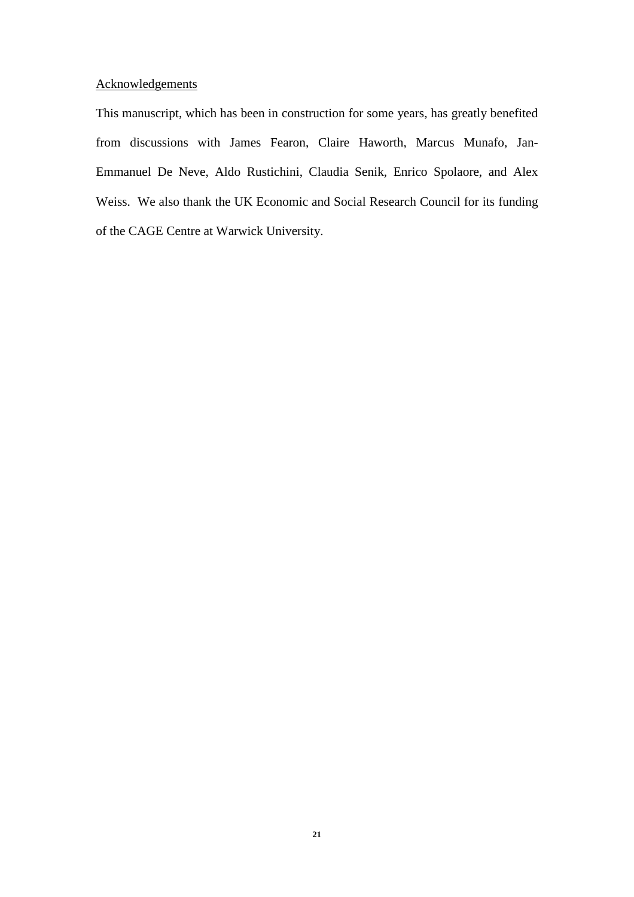#### **Acknowledgements**

This manuscript, which has been in construction for some years, has greatly benefited from discussions with James Fearon, Claire Haworth, Marcus Munafo, Jan-Emmanuel De Neve, Aldo Rustichini, Claudia Senik, Enrico Spolaore, and Alex Weiss. We also thank the UK Economic and Social Research Council for its funding of the CAGE Centre at Warwick University.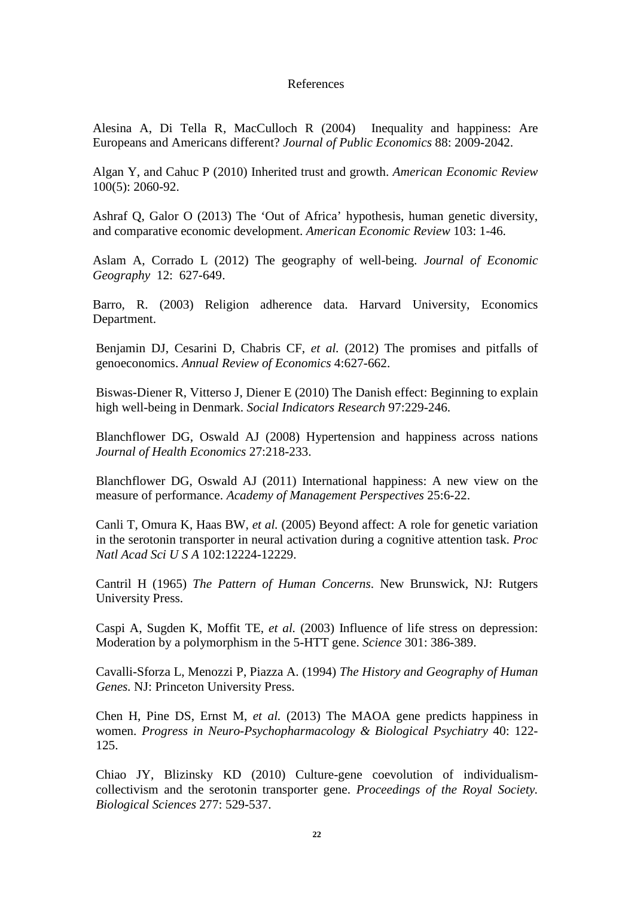#### References

Alesina A, Di Tella R, MacCulloch R (2004) Inequality and happiness: Are Europeans and Americans different? *Journal of Public Economics* 88: 2009-2042.

Algan Y, and Cahuc P (2010) Inherited trust and growth. *American Economic Review* 100(5): 2060-92.

Ashraf Q, Galor O (2013) The 'Out of Africa' hypothesis, human genetic diversity, and comparative economic development. *American Economic Review* 103: 1-46.

Aslam A, Corrado L (2012) The geography of well-being. *Journal of Economic Geography* 12: 627-649.

Barro, R. (2003) Religion adherence data. Harvard University, Economics Department.

Benjamin DJ, Cesarini D, Chabris CF, *et al.* (2012) The promises and pitfalls of genoeconomics. *Annual Review of Economics* 4:627-662.

Biswas-Diener R, Vitterso J, Diener E (2010) The Danish effect: Beginning to explain high well-being in Denmark. *Social Indicators Research* 97:229-246.

Blanchflower DG, Oswald AJ (2008) Hypertension and happiness across nations *Journal of Health Economics* 27:218-233.

Blanchflower DG, Oswald AJ (2011) International happiness: A new view on the measure of performance. *Academy of Management Perspectives* 25:6-22.

Canli T, Omura K, Haas BW, *et al.* (2005) Beyond affect: A role for genetic variation in the serotonin transporter in neural activation during a cognitive attention task. *Proc Natl Acad Sci U S A* 102:12224-12229.

Cantril H (1965) *The Pattern of Human Concerns*. New Brunswick, NJ: Rutgers University Press.

Caspi A, Sugden K, Moffit TE, *et al.* (2003) Influence of life stress on depression: Moderation by a polymorphism in the 5-HTT gene. *Science* 301: 386-389.

Cavalli-Sforza L, Menozzi P, Piazza A. (1994) *The History and Geography of Human Genes.* NJ: Princeton University Press.

Chen H, Pine DS, Ernst M, *et al.* (2013) The MAOA gene predicts happiness in women. *Progress in Neuro-Psychopharmacology & Biological Psychiatry* 40: 122- 125.

Chiao JY, Blizinsky KD (2010) Culture-gene coevolution of individualismcollectivism and the serotonin transporter gene. *Proceedings of the Royal Society. Biological Sciences* 277: 529-537.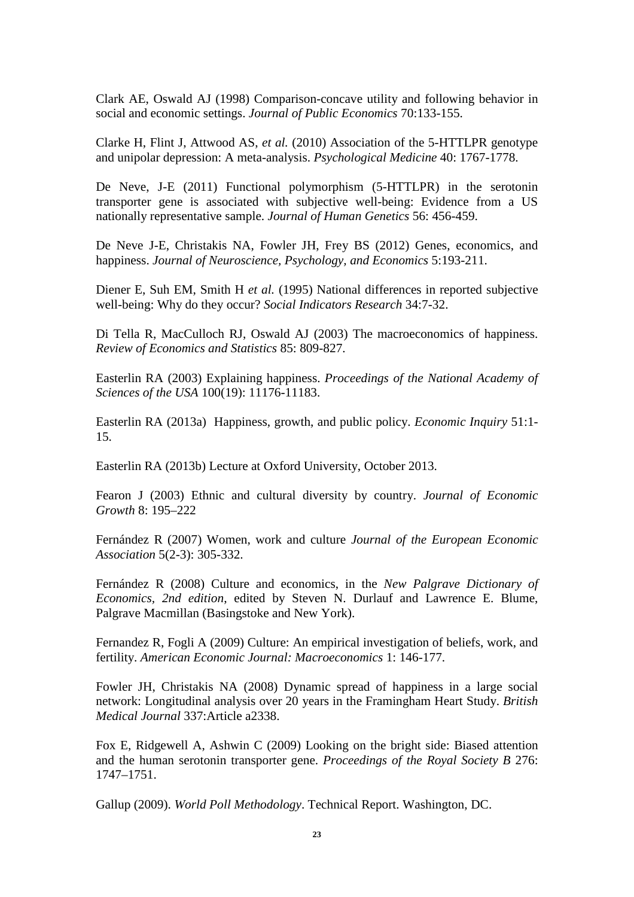Clark AE, Oswald AJ (1998) Comparison-concave utility and following behavior in social and economic settings. *Journal of Public Economics* 70:133-155.

Clarke H, Flint J, Attwood AS, *et al.* (2010) Association of the 5-HTTLPR genotype and unipolar depression: A meta-analysis. *Psychological Medicine* 40: 1767-1778.

De Neve, J-E (2011) Functional polymorphism (5-HTTLPR) in the serotonin transporter gene is associated with subjective well-being: Evidence from a US nationally representative sample. *Journal of Human Genetics* 56: 456-459.

De Neve J-E, Christakis NA, Fowler JH, Frey BS (2012) Genes, economics, and happiness. *Journal of Neuroscience, Psychology, and Economics* 5:193-211.

Diener E, Suh EM, Smith H *et al.* (1995) National differences in reported subjective well-being: Why do they occur? *Social Indicators Research* 34:7-32.

Di Tella R, MacCulloch RJ, Oswald AJ (2003) The macroeconomics of happiness. *Review of Economics and Statistics* 85: 809-827.

Easterlin RA (2003) Explaining happiness. *Proceedings of the National Academy of Sciences of the USA* 100(19): 11176-11183.

Easterlin RA (2013a) Happiness, growth, and public policy. *Economic Inquiry* 51:1- 15.

Easterlin RA (2013b) Lecture at Oxford University, October 2013.

Fearon J (2003) Ethnic and cultural diversity by country. *Journal of Economic Growth* 8: 195–222

Fernández R (2007) Women, work and culture *Journal of the European Economic Association* 5(2-3): 305-332.

Fernández R (2008) Culture and economics, in the *New Palgrave Dictionary of Economics, 2nd edition*, edited by Steven N. Durlauf and Lawrence E. Blume, Palgrave Macmillan (Basingstoke and New York).

Fernandez R, Fogli A (2009) Culture: An empirical investigation of beliefs, work, and fertility. *American Economic Journal: Macroeconomics* 1: 146-177.

Fowler JH, Christakis NA (2008) Dynamic spread of happiness in a large social network: Longitudinal analysis over 20 years in the Framingham Heart Study. *British Medical Journal* 337:Article a2338.

Fox E, Ridgewell A, Ashwin C (2009) Looking on the bright side: Biased attention and the human serotonin transporter gene. *Proceedings of the Royal Society B* 276: 1747–1751.

Gallup (2009). *World Poll Methodology*. Technical Report. Washington, DC.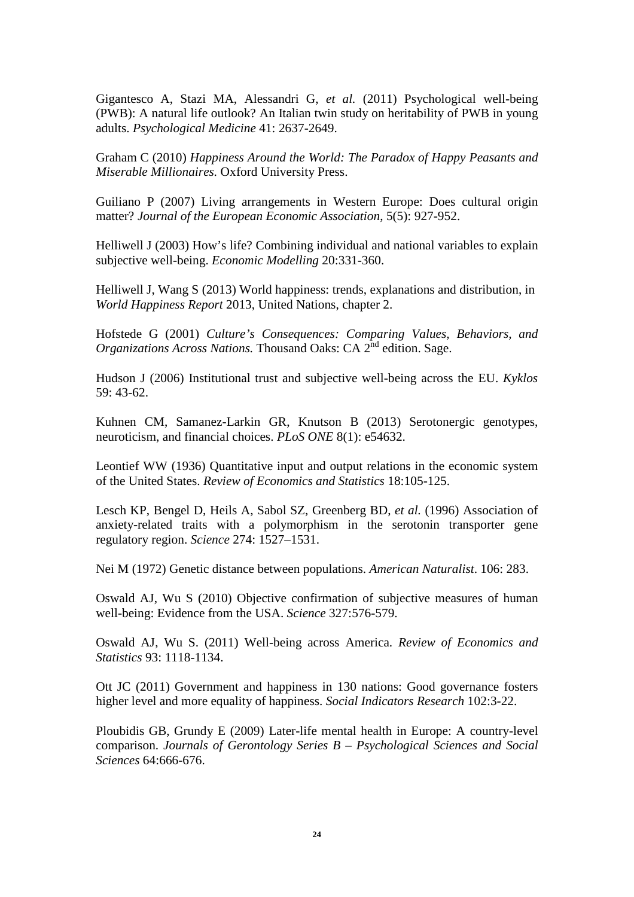Gigantesco A, Stazi MA, Alessandri G, *et al.* (2011) Psychological well-being (PWB): A natural life outlook? An Italian twin study on heritability of PWB in young adults. *Psychological Medicine* 41: 2637-2649.

Graham C (2010) *Happiness Around the World: The Paradox of Happy Peasants and Miserable Millionaires.* Oxford University Press.

Guiliano P (2007) Living arrangements in Western Europe: Does cultural origin matter? *Journal of the European Economic Association*, 5(5): 927-952.

Helliwell J (2003) How's life? Combining individual and national variables to explain subjective well-being. *Economic Modelling* 20:331-360.

Helliwell J, Wang S (2013) World happiness: trends, explanations and distribution, in *World Happiness Report* 2013, United Nations, chapter 2.

Hofstede G (2001) *Culture's Consequences: Comparing Values, Behaviors, and Organizations Across Nations.* Thousand Oaks: CA 2<sup>nd</sup> edition. Sage.

Hudson J (2006) Institutional trust and subjective well-being across the EU. *Kyklos* 59: 43-62.

Kuhnen CM, Samanez-Larkin GR, Knutson B (2013) Serotonergic genotypes, neuroticism, and financial choices. *PLoS ONE* 8(1): e54632.

Leontief WW (1936) Quantitative input and output relations in the economic system of the United States. *Review of Economics and Statistics* 18:105-125.

Lesch KP, Bengel D, Heils A, Sabol SZ, Greenberg BD, *et al.* (1996) Association of anxiety-related traits with a polymorphism in the serotonin transporter gene regulatory region. *Science* 274: 1527–1531.

Nei M (1972) Genetic distance between populations. *American Naturalist*. 106: 283.

Oswald AJ, Wu S (2010) Objective confirmation of subjective measures of human well-being: Evidence from the USA. *Science* 327:576-579.

Oswald AJ, Wu S. (2011) Well-being across America. *Review of Economics and Statistics* 93: 1118-1134.

Ott JC (2011) Government and happiness in 130 nations: Good governance fosters higher level and more equality of happiness. *Social Indicators Research* 102:3-22.

Ploubidis GB, Grundy E (2009) Later-life mental health in Europe: A country-level comparison. *Journals of Gerontology Series B – Psychological Sciences and Social Sciences* 64:666-676.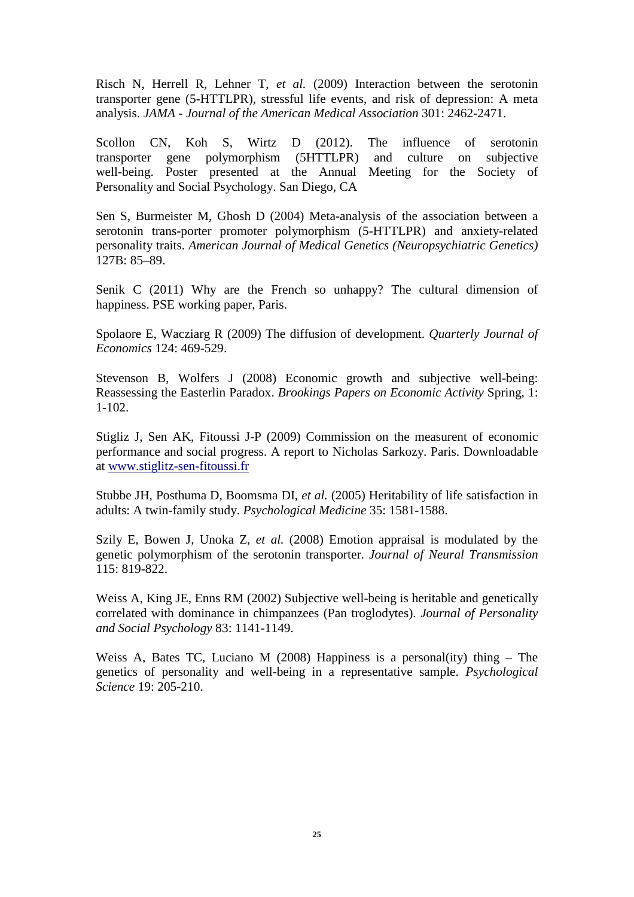Risch N, Herrell R, Lehner T, *et al.* (2009) Interaction between the serotonin transporter gene (5-HTTLPR), stressful life events, and risk of depression: A meta analysis. *JAMA - Journal of the American Medical Association* 301: 2462-2471.

Scollon CN, Koh S, Wirtz D (2012). The influence of serotonin<br>transporter gene polymorphism (5HTTLPR) and culture on subjective transporter gene polymorphism (5HTTLPR) and culture on subjective well-being. Poster presented at the Annual Meeting for the Society of Personality and Social Psychology. San Diego, CA

Sen S, Burmeister M, Ghosh D (2004) Meta-analysis of the association between a serotonin trans-porter promoter polymorphism (5-HTTLPR) and anxiety-related personality traits. *American Journal of Medical Genetics (Neuropsychiatric Genetics)*  127B: 85–89.

Senik C (2011) Why are the French so unhappy? The cultural dimension of happiness. PSE working paper, Paris.

Spolaore E, Wacziarg R (2009) The diffusion of development. *Quarterly Journal of Economics* 124: 469-529.

Stevenson B, Wolfers J (2008) Economic growth and subjective well-being: Reassessing the Easterlin Paradox. *Brookings Papers on Economic Activity* Spring, 1: 1-102.

Stigliz J, Sen AK, Fitoussi J-P (2009) Commission on the measurent of economic performance and social progress. A report to Nicholas Sarkozy. Paris. Downloadable at [www.stiglitz-sen-fitoussi.fr](http://www.stiglitz-sen-fitoussi.fr/)

Stubbe JH, Posthuma D, Boomsma DI, *et al.* (2005) Heritability of life satisfaction in adults: A twin-family study. *Psychological Medicine* 35: 1581-1588.

Szily E, Bowen J, Unoka Z, *et al.* (2008) Emotion appraisal is modulated by the genetic polymorphism of the serotonin transporter. *Journal of Neural Transmission* 115: 819-822.

Weiss A, King JE, Enns RM (2002) Subjective well-being is heritable and genetically correlated with dominance in chimpanzees (Pan troglodytes). *Journal of Personality and Social Psychology* 83: 1141-1149.

Weiss A, Bates TC, Luciano M (2008) Happiness is a personal (ity) thing  $-$  The genetics of personality and well-being in a representative sample. *Psychological Science* 19: 205-210.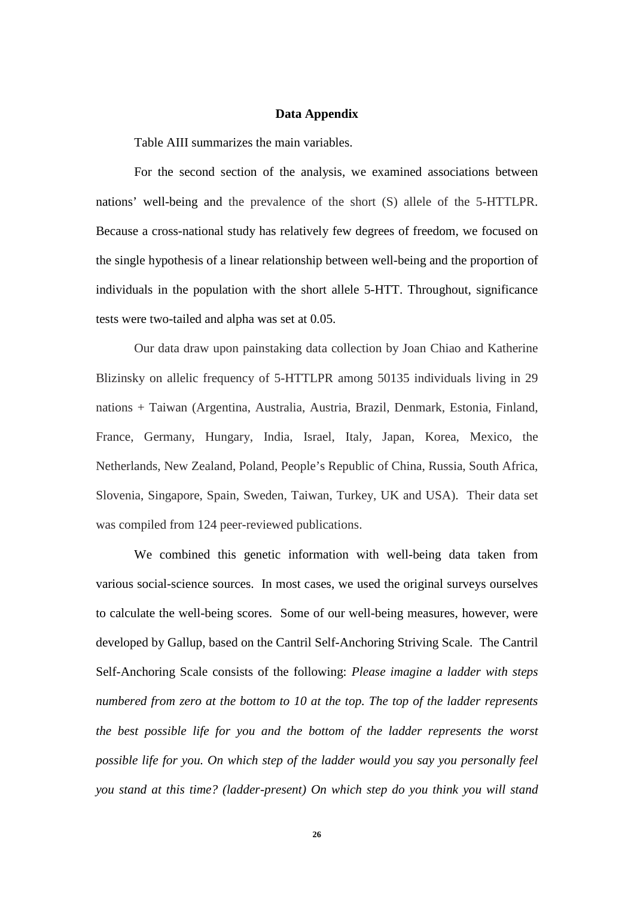#### **Data Appendix**

Table AIII summarizes the main variables.

For the second section of the analysis, we examined associations between nations' well-being and the prevalence of the short (S) allele of the 5-HTTLPR. Because a cross-national study has relatively few degrees of freedom, we focused on the single hypothesis of a linear relationship between well-being and the proportion of individuals in the population with the short allele 5-HTT. Throughout, significance tests were two-tailed and alpha was set at 0.05.

Our data draw upon painstaking data collection by Joan Chiao and Katherine Blizinsky on allelic frequency of 5-HTTLPR among 50135 individuals living in 29 nations + Taiwan (Argentina, Australia, Austria, Brazil, Denmark, Estonia, Finland, France, Germany, Hungary, India, Israel, Italy, Japan, Korea, Mexico, the Netherlands, New Zealand, Poland, People's Republic of China, Russia, South Africa, Slovenia, Singapore, Spain, Sweden, Taiwan, Turkey, UK and USA). Their data set was compiled from 124 peer-reviewed publications.

We combined this genetic information with well-being data taken from various social-science sources. In most cases, we used the original surveys ourselves to calculate the well-being scores. Some of our well-being measures, however, were developed by Gallup, based on the Cantril Self-Anchoring Striving Scale. The Cantril Self-Anchoring Scale consists of the following: *Please imagine a ladder with steps numbered from zero at the bottom to 10 at the top. The top of the ladder represents the best possible life for you and the bottom of the ladder represents the worst possible life for you. On which step of the ladder would you say you personally feel you stand at this time? (ladder-present) On which step do you think you will stand*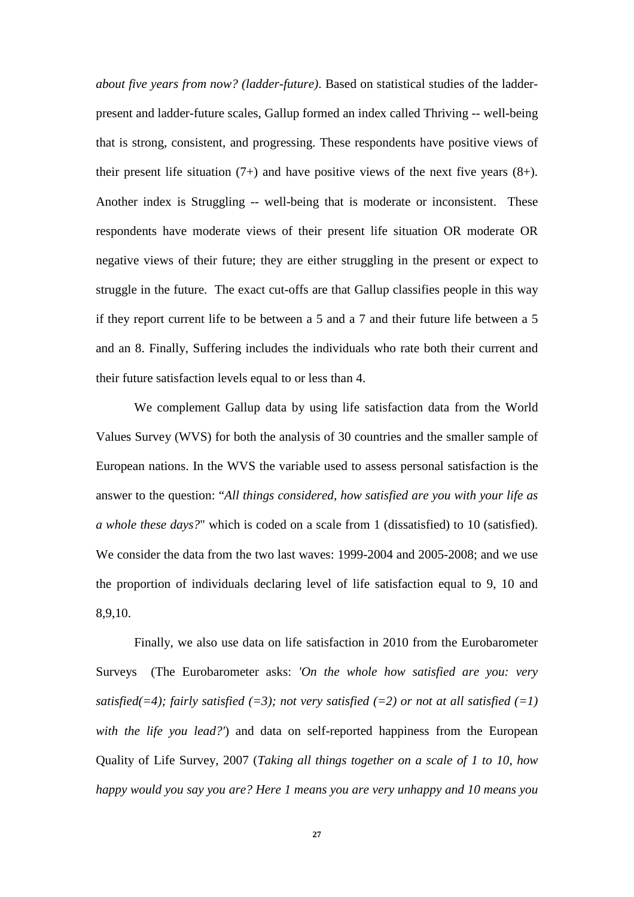*about five years from now? (ladder-future)*. Based on statistical studies of the ladderpresent and ladder-future scales, Gallup formed an index called Thriving -- well-being that is strong, consistent, and progressing. These respondents have positive views of their present life situation  $(7+)$  and have positive views of the next five years  $(8+)$ . Another index is Struggling -- well-being that is moderate or inconsistent. These respondents have moderate views of their present life situation OR moderate OR negative views of their future; they are either struggling in the present or expect to struggle in the future. The exact cut-offs are that Gallup classifies people in this way if they report current life to be between a 5 and a 7 and their future life between a 5 and an 8. Finally, Suffering includes the individuals who rate both their current and their future satisfaction levels equal to or less than 4.

We complement Gallup data by using life satisfaction data from the World Values Survey (WVS) for both the analysis of 30 countries and the smaller sample of European nations. In the WVS the variable used to assess personal satisfaction is the answer to the question: "*All things considered, how satisfied are you with your life as a whole these days?*" which is coded on a scale from 1 (dissatisfied) to 10 (satisfied). We consider the data from the two last waves: 1999-2004 and 2005-2008; and we use the proportion of individuals declaring level of life satisfaction equal to 9, 10 and 8,9,10.

Finally, we also use data on life satisfaction in 2010 from the Eurobarometer Surveys (The Eurobarometer asks: *'On the whole how satisfied are you: very satisfied(=4); fairly satisfied (=3); not very satisfied (=2) or not at all satisfied (=1) with the life you lead?'*) and data on self-reported happiness from the European Quality of Life Survey, 2007 (*Taking all things together on a scale of 1 to 10, how happy would you say you are? Here 1 means you are very unhappy and 10 means you*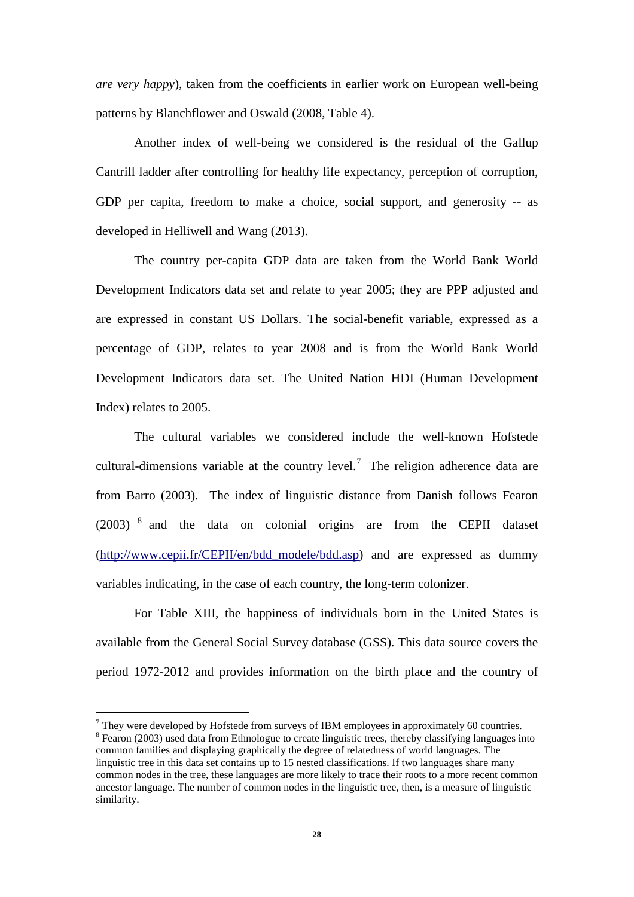*are very happy*), taken from the coefficients in earlier work on European well-being patterns by Blanchflower and Oswald (2008, Table 4).

Another index of well-being we considered is the residual of the Gallup Cantrill ladder after controlling for healthy life expectancy, perception of corruption, GDP per capita, freedom to make a choice, social support, and generosity -- as developed in Helliwell and Wang (2013).

The country per-capita GDP data are taken from the World Bank World Development Indicators data set and relate to year 2005; they are PPP adjusted and are expressed in constant US Dollars. The social-benefit variable, expressed as a percentage of GDP, relates to year 2008 and is from the World Bank World Development Indicators data set. The United Nation HDI (Human Development Index) relates to 2005.

The cultural variables we considered include the well-known Hofstede cultural-dimensions variable at the country level.<sup>[7](#page-17-0)</sup> The religion adherence data are from Barro (2003). The index of linguistic distance from Danish follows Fearon (2003) [8](#page-29-0) and the data on colonial origins are from the CEPII dataset [\(http://www.cepii.fr/CEPII/en/bdd\\_modele/bdd.asp\)](http://www.cepii.fr/CEPII/en/bdd_modele/bdd.asp) and are expressed as dummy variables indicating, in the case of each country, the long-term colonizer.

For Table XIII, the happiness of individuals born in the United States is available from the General Social Survey database (GSS). This data source covers the period 1972-2012 and provides information on the birth place and the country of

 $7$  They were developed by Hofstede from surveys of IBM employees in approximately 60 countries. <sup>8</sup> Fearon (2003) used data from Ethnologue to create linguistic trees, thereby classifying languages into common families and displaying graphically the degree of relatedness of world languages. The linguistic tree in this data set contains up to 15 nested classifications. If two languages share many common nodes in the tree, these languages are more likely to trace their roots to a more recent common ancestor language. The number of common nodes in the linguistic tree, then, is a measure of linguistic similarity.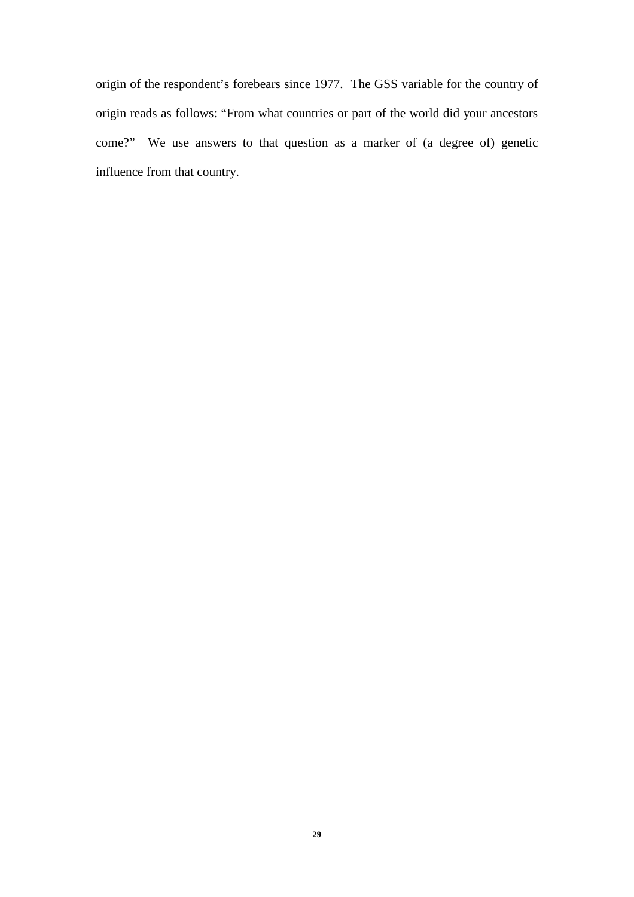<span id="page-29-0"></span>origin of the respondent's forebears since 1977. The GSS variable for the country of origin reads as follows: "From what countries or part of the world did your ancestors come?" We use answers to that question as a marker of (a degree of) genetic influence from that country.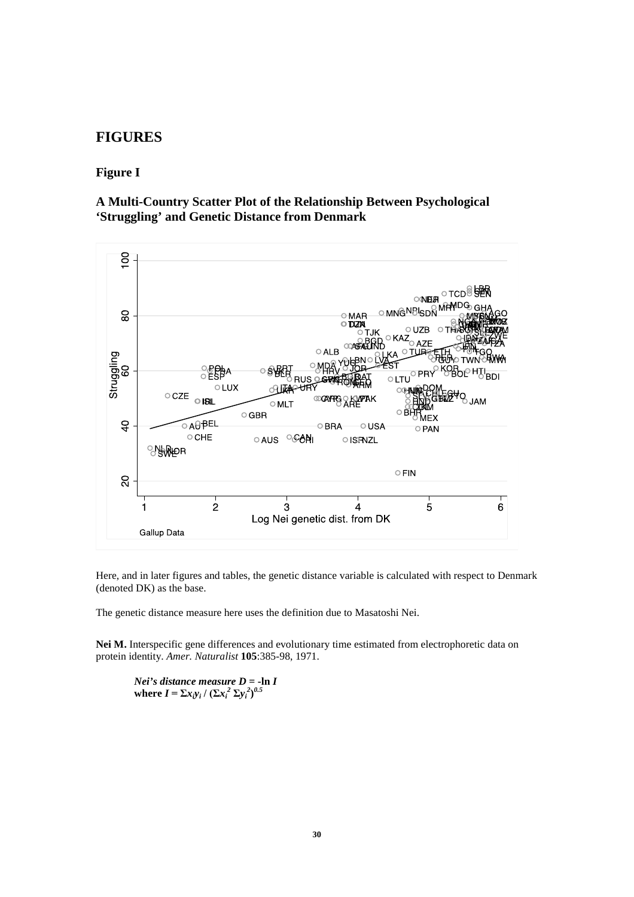### **FIGURES**

#### **Figure I**

#### **A Multi-Country Scatter Plot of the Relationship Between Psychological 'Struggling' and Genetic Distance from Denmark**



Here, and in later figures and tables, the genetic distance variable is calculated with respect to Denmark (denoted DK) as the base.

The genetic distance measure here uses the definition due to Masatoshi Nei.

Nei M. Interspecific gene differences and evolutionary time estimated from electrophoretic data on protein identity. *Amer. Naturalist* **105**:385-98, 1971.

*Nei's distance measure D* **= -ln** *I* **where**  $I = \sum x_i y_i / (\sum x_i^2 \sum y_i^2)^{0.5}$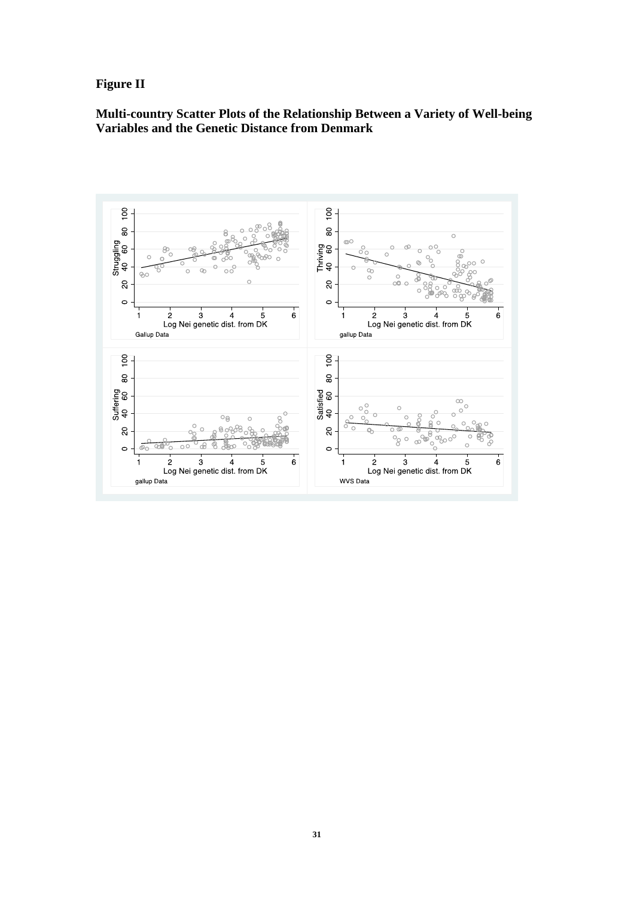## **Figure II**

### **Multi-country Scatter Plots of the Relationship Between a Variety of Well-being Variables and the Genetic Distance from Denmark**

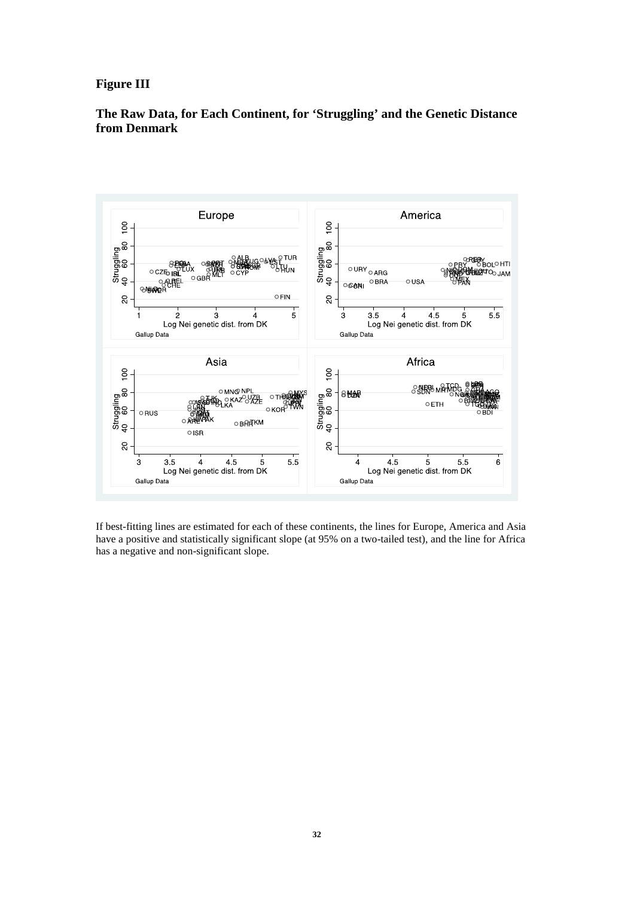#### **Figure III**

**The Raw Data, for Each Continent, for 'Struggling' and the Genetic Distance from Denmark** 



If best-fitting lines are estimated for each of these continents, the lines for Europe, America and Asia have a positive and statistically significant slope (at 95% on a two-tailed test), and the line for Africa has a negative and non-significant slope.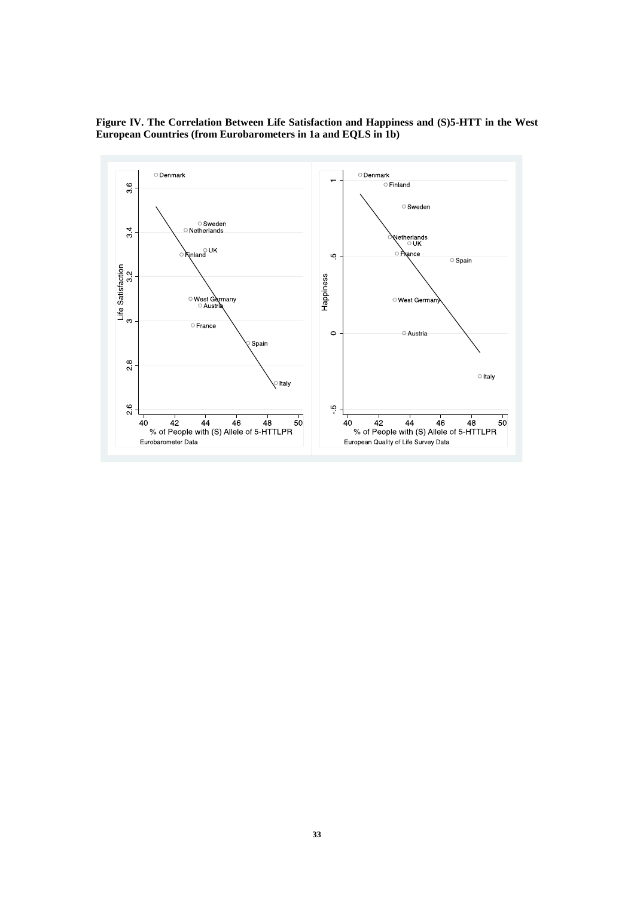

**Figure IV. The Correlation Between Life Satisfaction and Happiness and (S)5-HTT in the West European Countries (from Eurobarometers in 1a and EQLS in 1b)**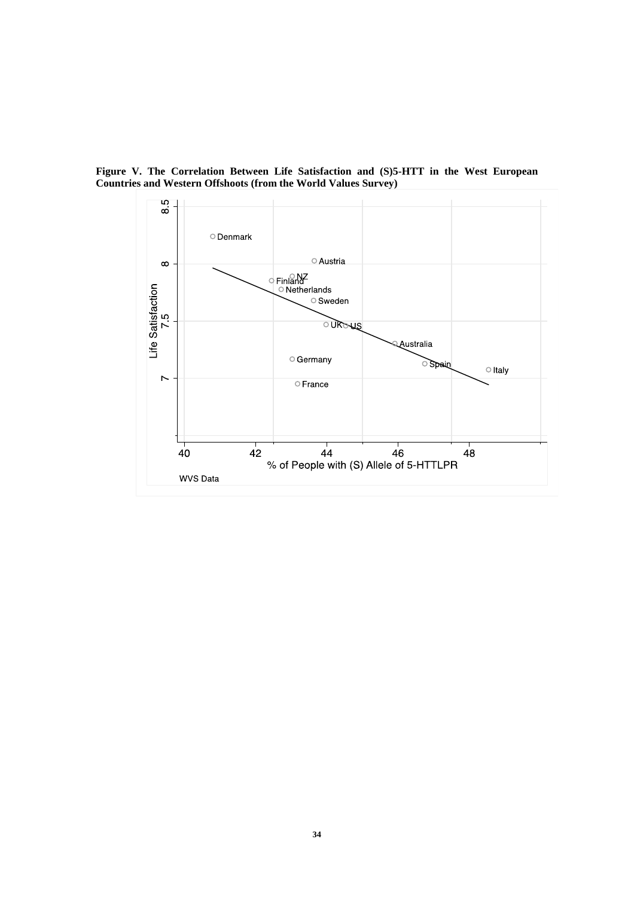

**Figure V. The Correlation Between Life Satisfaction and (S)5-HTT in the West European Countries and Western Offshoots (from the World Values Survey)**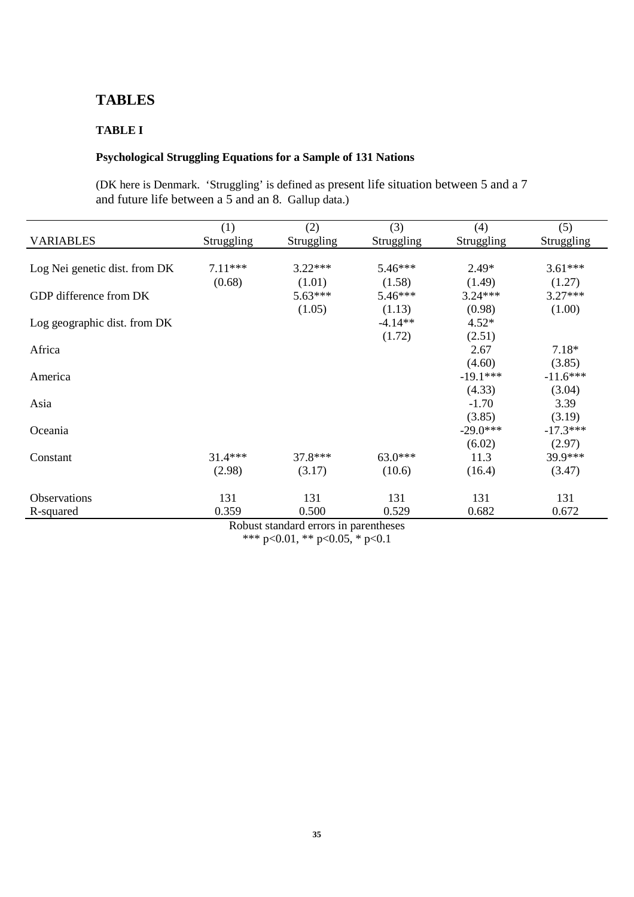# **TABLES**

#### **TABLE I**

#### **Psychological Struggling Equations for a Sample of 131 Nations**

(DK here is Denmark. 'Struggling' is defined as present life situation between 5 and a 7 and future life between a 5 and an 8. Gallup data.)

|                               | (1)        | (2)        | (3)        | (4)        | (5)        |
|-------------------------------|------------|------------|------------|------------|------------|
| <b>VARIABLES</b>              | Struggling | Struggling | Struggling | Struggling | Struggling |
|                               |            |            |            |            |            |
| Log Nei genetic dist. from DK | $7.11***$  | $3.22***$  | $5.46***$  | $2.49*$    | $3.61***$  |
|                               | (0.68)     | (1.01)     | (1.58)     | (1.49)     | (1.27)     |
| GDP difference from DK        |            | $5.63***$  | $5.46***$  | $3.24***$  | $3.27***$  |
|                               |            | (1.05)     | (1.13)     | (0.98)     | (1.00)     |
| Log geographic dist. from DK  |            |            | $-4.14**$  | $4.52*$    |            |
|                               |            |            | (1.72)     | (2.51)     |            |
| Africa                        |            |            |            | 2.67       | $7.18*$    |
|                               |            |            |            | (4.60)     | (3.85)     |
| America                       |            |            |            | $-19.1***$ | $-11.6***$ |
|                               |            |            |            | (4.33)     | (3.04)     |
| Asia                          |            |            |            | $-1.70$    | 3.39       |
|                               |            |            |            | (3.85)     | (3.19)     |
| Oceania                       |            |            |            | $-29.0***$ | $-17.3***$ |
|                               |            |            |            | (6.02)     | (2.97)     |
| Constant                      | $31.4***$  | 37.8***    | $63.0***$  | 11.3       | 39.9***    |
|                               | (2.98)     | (3.17)     | (10.6)     | (16.4)     | (3.47)     |
| <b>Observations</b>           | 131        | 131        | 131        | 131        | 131        |
| R-squared                     | 0.359      | 0.500      | 0.529      | 0.682      | 0.672      |

Robust standard errors in parentheses \*\*\* p<0.01, \*\* p<0.05, \* p<0.1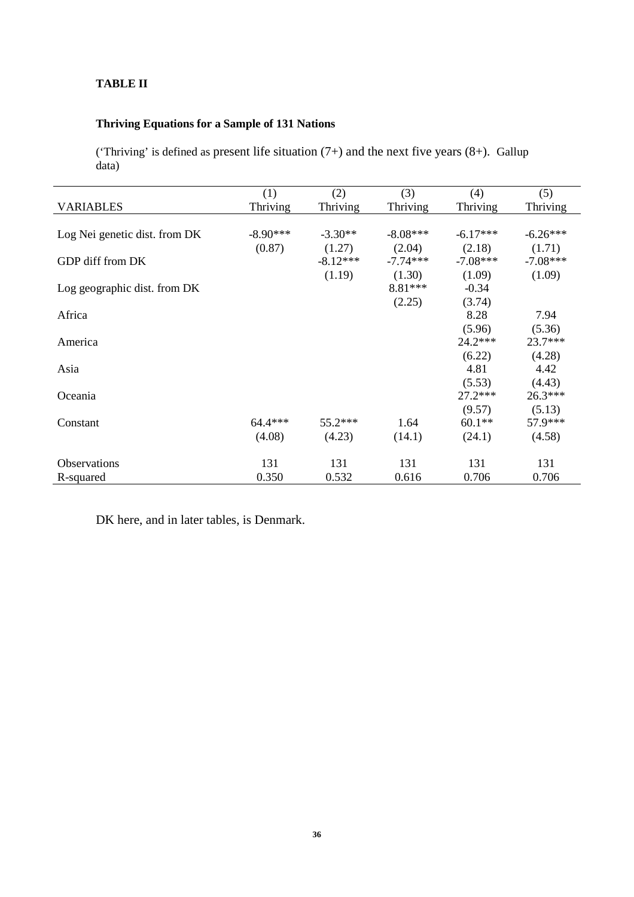#### **TABLE II**

### **Thriving Equations for a Sample of 131 Nations**

('Thriving' is defined as present life situation  $(7+)$  and the next five years  $(8+)$ . Gallup data)

| (1)        | (2)          | (3)          | (4)          | (5)                                                             |
|------------|--------------|--------------|--------------|-----------------------------------------------------------------|
| Thriving   | Thriving     | Thriving     | Thriving     | Thriving                                                        |
|            |              |              |              |                                                                 |
| $-8.90***$ | $-3.30**$    | $-8.08***$   | $-6.17***$   | $-6.26***$                                                      |
| (0.87)     | (1.27)       | (2.04)       | (2.18)       | (1.71)                                                          |
|            | $-8.12***$   | $-7.74***$   | $-7.08***$   | $-7.08***$                                                      |
|            | (1.19)       | (1.30)       | (1.09)       | (1.09)                                                          |
|            |              | 8.81***      | $-0.34$      |                                                                 |
|            |              | (2.25)       | (3.74)       |                                                                 |
|            |              |              | 8.28         | 7.94                                                            |
|            |              |              |              | (5.36)                                                          |
|            |              |              |              | 23.7***                                                         |
|            |              |              |              | (4.28)                                                          |
|            |              |              |              | 4.42                                                            |
|            |              |              | (5.53)       | (4.43)                                                          |
|            |              |              | $27.2***$    | $26.3***$                                                       |
|            |              |              |              | (5.13)                                                          |
| $64.4***$  | 55.2***      | 1.64         | $60.1**$     | 57.9***                                                         |
| (4.08)     | (4.23)       | (14.1)       | (24.1)       | (4.58)                                                          |
|            |              |              |              | 131                                                             |
|            |              |              |              | 0.706                                                           |
|            | 131<br>0.350 | 131<br>0.532 | 131<br>0.616 | (5.96)<br>$24.2***$<br>(6.22)<br>4.81<br>(9.57)<br>131<br>0.706 |

DK here, and in later tables, is Denmark.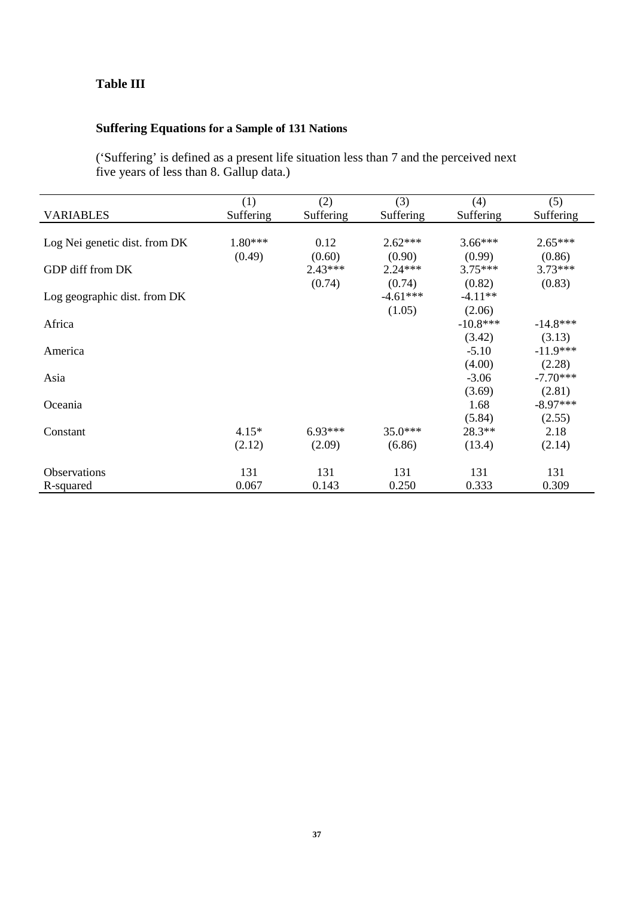## **Table III**

# **Suffering Equations for a Sample of 131 Nations**

('Suffering' is defined as a present life situation less than 7 and the perceived next five years of less than 8. Gallup data.)

|                               | (1)       | (2)       | (3)        | (4)        | (5)        |
|-------------------------------|-----------|-----------|------------|------------|------------|
| <b>VARIABLES</b>              | Suffering | Suffering | Suffering  | Suffering  | Suffering  |
|                               |           |           |            |            |            |
| Log Nei genetic dist. from DK | $1.80***$ | 0.12      | $2.62***$  | $3.66***$  | $2.65***$  |
|                               | (0.49)    | (0.60)    | (0.90)     | (0.99)     | (0.86)     |
| GDP diff from DK              |           | $2.43***$ | $2.24***$  | $3.75***$  | $3.73***$  |
|                               |           | (0.74)    | (0.74)     | (0.82)     | (0.83)     |
| Log geographic dist. from DK  |           |           | $-4.61***$ | $-4.11**$  |            |
|                               |           |           | (1.05)     | (2.06)     |            |
| Africa                        |           |           |            | $-10.8***$ | $-14.8***$ |
|                               |           |           |            | (3.42)     | (3.13)     |
| America                       |           |           |            | $-5.10$    | $-11.9***$ |
|                               |           |           |            | (4.00)     | (2.28)     |
| Asia                          |           |           |            | $-3.06$    | $-7.70***$ |
|                               |           |           |            | (3.69)     | (2.81)     |
| Oceania                       |           |           |            | 1.68       | $-8.97***$ |
|                               |           |           |            | (5.84)     | (2.55)     |
| Constant                      | $4.15*$   | $6.93***$ | $35.0***$  | 28.3**     | 2.18       |
|                               | (2.12)    | (2.09)    | (6.86)     | (13.4)     | (2.14)     |
| Observations                  | 131       | 131       | 131        | 131        | 131        |
| R-squared                     | 0.067     | 0.143     | 0.250      | 0.333      | 0.309      |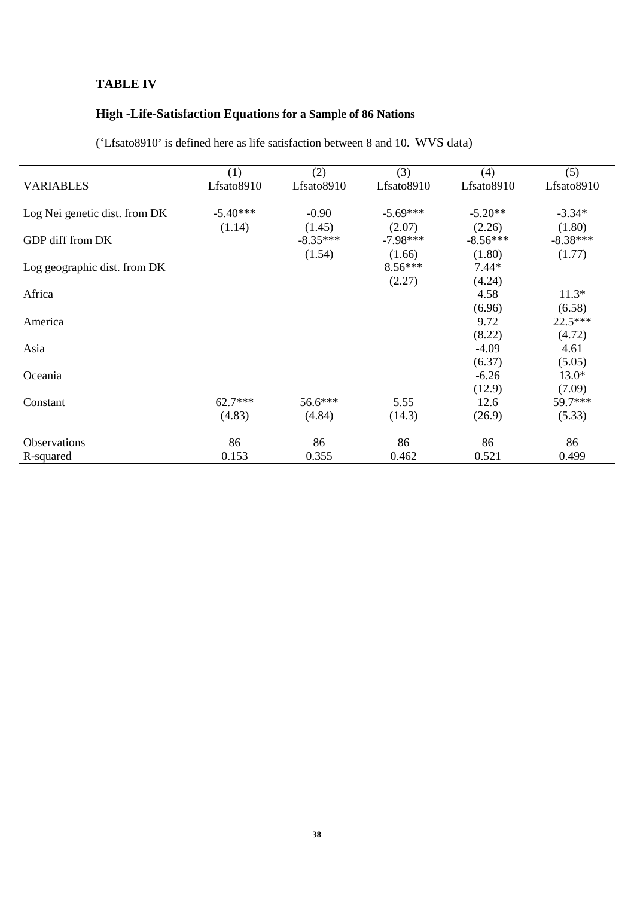### **TABLE IV**

# **High -Life-Satisfaction Equations for a Sample of 86 Nations**

('Lfsato8910' is defined here as life satisfaction between 8 and 10. WVS data)

|                               | (1)        | (2)        | (3)        | (4)        | (5)        |
|-------------------------------|------------|------------|------------|------------|------------|
| <b>VARIABLES</b>              | Lfsato8910 | Lfsato8910 | Lfsato8910 | Lfsato8910 | Lfsato8910 |
|                               |            |            |            |            |            |
| Log Nei genetic dist. from DK | $-5.40***$ | $-0.90$    | $-5.69***$ | $-5.20**$  | $-3.34*$   |
|                               | (1.14)     | (1.45)     | (2.07)     | (2.26)     | (1.80)     |
| GDP diff from DK              |            | $-8.35***$ | $-7.98***$ | $-8.56***$ | $-8.38***$ |
|                               |            | (1.54)     | (1.66)     | (1.80)     | (1.77)     |
| Log geographic dist. from DK  |            |            | $8.56***$  | $7.44*$    |            |
|                               |            |            | (2.27)     | (4.24)     |            |
| Africa                        |            |            |            | 4.58       | $11.3*$    |
|                               |            |            |            | (6.96)     | (6.58)     |
| America                       |            |            |            | 9.72       | $22.5***$  |
|                               |            |            |            | (8.22)     | (4.72)     |
| Asia                          |            |            |            | $-4.09$    | 4.61       |
|                               |            |            |            | (6.37)     | (5.05)     |
| Oceania                       |            |            |            | $-6.26$    | $13.0*$    |
|                               |            |            |            | (12.9)     | (7.09)     |
| Constant                      | $62.7***$  | $56.6***$  | 5.55       | 12.6       | 59.7***    |
|                               | (4.83)     | (4.84)     | (14.3)     | (26.9)     | (5.33)     |
| Observations                  | 86         | 86         | 86         | 86         | 86         |
| R-squared                     | 0.153      | 0.355      | 0.462      | 0.521      | 0.499      |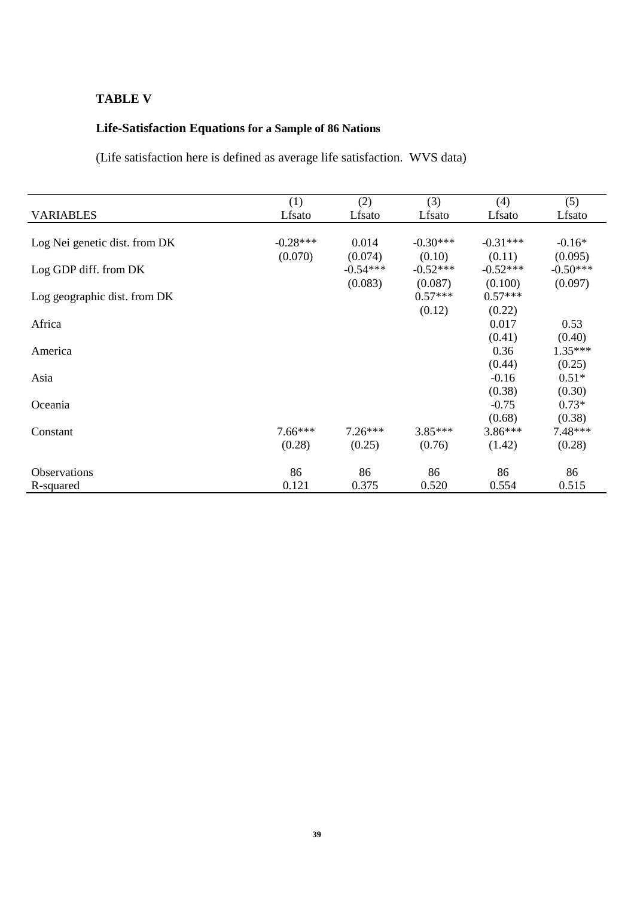## **TABLE V**

# **Life-Satisfaction Equations for a Sample of 86 Nations**

(Life satisfaction here is defined as average life satisfaction. WVS data)

|                               | (1)        | (2)        | (3)        | (4)        | (5)        |
|-------------------------------|------------|------------|------------|------------|------------|
| <b>VARIABLES</b>              | Lfsato     | Lfsato     | Lfsato     | Lfsato     | Lfsato     |
|                               |            |            |            |            |            |
| Log Nei genetic dist. from DK | $-0.28***$ | 0.014      | $-0.30***$ | $-0.31***$ | $-0.16*$   |
|                               | (0.070)    | (0.074)    | (0.10)     | (0.11)     | (0.095)    |
| Log GDP diff. from DK         |            | $-0.54***$ | $-0.52***$ | $-0.52***$ | $-0.50***$ |
|                               |            | (0.083)    | (0.087)    | (0.100)    | (0.097)    |
| Log geographic dist. from DK  |            |            | $0.57***$  | $0.57***$  |            |
|                               |            |            | (0.12)     | (0.22)     |            |
| Africa                        |            |            |            | 0.017      | 0.53       |
|                               |            |            |            | (0.41)     | (0.40)     |
| America                       |            |            |            | 0.36       | $1.35***$  |
|                               |            |            |            | (0.44)     | (0.25)     |
| Asia                          |            |            |            | $-0.16$    | $0.51*$    |
|                               |            |            |            |            |            |
|                               |            |            |            | (0.38)     | (0.30)     |
| Oceania                       |            |            |            | $-0.75$    | $0.73*$    |
|                               |            |            |            | (0.68)     | (0.38)     |
| Constant                      | $7.66***$  | $7.26***$  | $3.85***$  | $3.86***$  | $7.48***$  |
|                               | (0.28)     | (0.25)     | (0.76)     | (1.42)     | (0.28)     |
|                               |            |            |            |            |            |
| Observations                  | 86         | 86         | 86         | 86         | 86         |
| R-squared                     | 0.121      | 0.375      | 0.520      | 0.554      | 0.515      |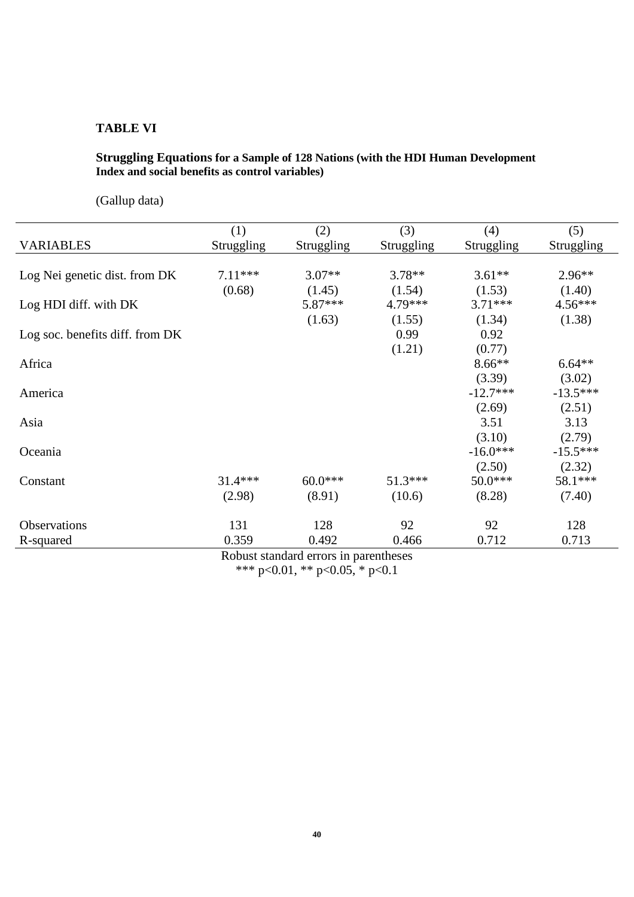### **TABLE VI**

#### **Struggling Equations for a Sample of 128 Nations (with the HDI Human Development Index and social benefits as control variables)**

(Gallup data)

|                                 | (1)        | (2)        | (3)               | (4)        | (5)        |
|---------------------------------|------------|------------|-------------------|------------|------------|
| <b>VARIABLES</b>                | Struggling | Struggling | <b>Struggling</b> | Struggling | Struggling |
|                                 |            |            |                   |            |            |
| Log Nei genetic dist. from DK   | $7.11***$  | $3.07**$   | $3.78**$          | $3.61**$   | $2.96**$   |
|                                 | (0.68)     | (1.45)     | (1.54)            | (1.53)     | (1.40)     |
| Log HDI diff. with DK           |            | $5.87***$  | 4.79***           | $3.71***$  | $4.56***$  |
|                                 |            | (1.63)     | (1.55)            | (1.34)     | (1.38)     |
| Log soc. benefits diff. from DK |            |            | 0.99              | 0.92       |            |
|                                 |            |            | (1.21)            | (0.77)     |            |
| Africa                          |            |            |                   | $8.66**$   | $6.64**$   |
|                                 |            |            |                   | (3.39)     | (3.02)     |
| America                         |            |            |                   | $-12.7***$ | $-13.5***$ |
|                                 |            |            |                   | (2.69)     | (2.51)     |
| Asia                            |            |            |                   | 3.51       | 3.13       |
|                                 |            |            |                   | (3.10)     | (2.79)     |
| Oceania                         |            |            |                   | $-16.0***$ | $-15.5***$ |
|                                 |            |            |                   | (2.50)     | (2.32)     |
| Constant                        | $31.4***$  | $60.0***$  | $51.3***$         | $50.0***$  | 58.1 ***   |
|                                 | (2.98)     | (8.91)     | (10.6)            | (8.28)     | (7.40)     |
|                                 |            |            |                   |            |            |
| <b>Observations</b>             | 131        | 128        | 92                | 92         | 128        |
| R-squared                       | 0.359      | 0.492      | 0.466             | 0.712      | 0.713      |

Robust standard errors in parentheses \*\*\* p<0.01, \*\* p<0.05, \* p<0.1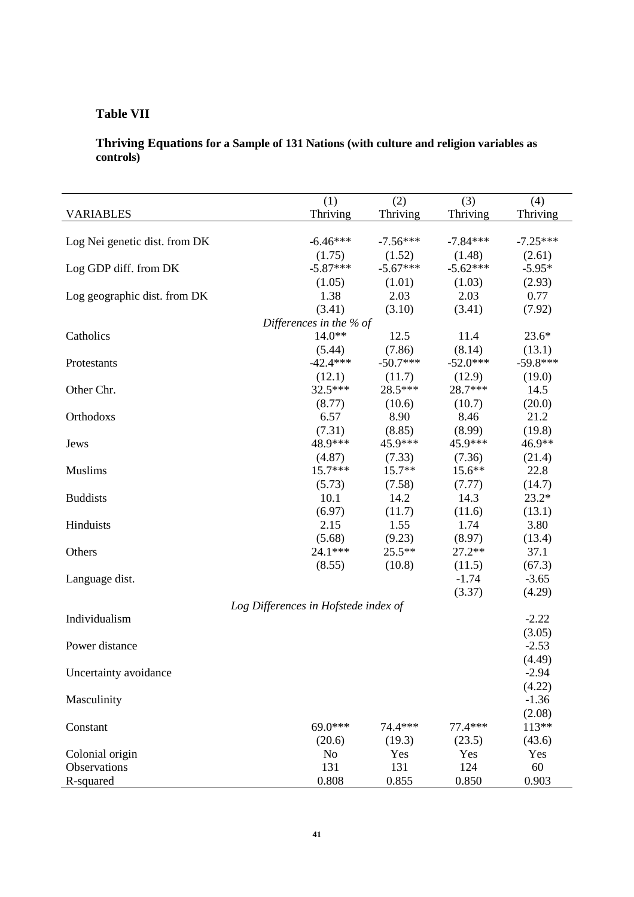# **Table VII**

#### **Thriving Equations for a Sample of 131 Nations (with culture and religion variables as controls)**

|                               | (1)                                   | (2)                  | (3)                  | (4)                  |
|-------------------------------|---------------------------------------|----------------------|----------------------|----------------------|
| <b>VARIABLES</b>              | Thriving                              | Thriving             | Thriving             | Thriving             |
|                               |                                       |                      |                      |                      |
| Log Nei genetic dist. from DK | $-6.46***$                            | $-7.56***$           | $-7.84***$           | $-7.25***$           |
|                               | (1.75)                                | (1.52)               | (1.48)               | (2.61)               |
| Log GDP diff. from DK         | $-5.87***$                            | $-5.67***$           | $-5.62***$           | $-5.95*$             |
|                               | (1.05)                                | (1.01)               | (1.03)               | (2.93)               |
| Log geographic dist. from DK  | 1.38                                  | 2.03                 | 2.03                 | 0.77                 |
|                               | (3.41)                                | (3.10)               | (3.41)               | (7.92)               |
|                               | Differences in the $%$ of<br>$14.0**$ |                      |                      |                      |
| Catholics                     |                                       | 12.5                 | 11.4                 | $23.6*$              |
|                               | (5.44)<br>$-42.4***$                  | (7.86)<br>$-50.7***$ | (8.14)<br>$-52.0***$ | (13.1)<br>$-59.8***$ |
| Protestants                   | (12.1)                                | (11.7)               | (12.9)               | (19.0)               |
| Other Chr.                    | $32.5***$                             | 28.5***              | 28.7***              | 14.5                 |
|                               | (8.77)                                | (10.6)               | (10.7)               | (20.0)               |
| Orthodoxs                     | 6.57                                  | 8.90                 | 8.46                 | 21.2                 |
|                               | (7.31)                                | (8.85)               | (8.99)               | (19.8)               |
| Jews                          | 48.9***                               | 45.9***              | 45.9***              | 46.9**               |
|                               | (4.87)                                | (7.33)               | (7.36)               | (21.4)               |
| <b>Muslims</b>                | $15.7***$                             | $15.7**$             | $15.6**$             | 22.8                 |
|                               | (5.73)                                | (7.58)               | (7.77)               | (14.7)               |
| <b>Buddists</b>               | 10.1                                  | 14.2                 | 14.3                 | $23.2*$              |
|                               | (6.97)                                | (11.7)               | (11.6)               | (13.1)               |
| Hinduists                     | 2.15                                  | 1.55                 | 1.74                 | 3.80                 |
|                               | (5.68)                                | (9.23)               | (8.97)               | (13.4)               |
| Others                        | 24.1***                               | 25.5**               | $27.2**$             | 37.1                 |
|                               | (8.55)                                | (10.8)               | (11.5)               | (67.3)               |
| Language dist.                |                                       |                      | $-1.74$              | $-3.65$              |
|                               |                                       |                      | (3.37)               | (4.29)               |
|                               | Log Differences in Hofstede index of  |                      |                      |                      |
| Individualism                 |                                       |                      |                      | $-2.22$              |
|                               |                                       |                      |                      | (3.05)               |
| Power distance                |                                       |                      |                      | $-2.53$              |
|                               |                                       |                      |                      | (4.49)               |
| Uncertainty avoidance         |                                       |                      |                      | $-2.94$              |
|                               |                                       |                      |                      | (4.22)               |
| Masculinity                   |                                       |                      |                      | $-1.36$              |
|                               |                                       |                      |                      | (2.08)               |
| Constant                      | $69.0***$                             | 74.4 ***             | $77.4***$            | $113**$              |
|                               | (20.6)                                | (19.3)               | (23.5)               | (43.6)               |
| Colonial origin               | No                                    | Yes                  | Yes                  | Yes                  |
| Observations                  | 131                                   | 131                  | 124                  | 60                   |
| R-squared                     | 0.808                                 | 0.855                | 0.850                | 0.903                |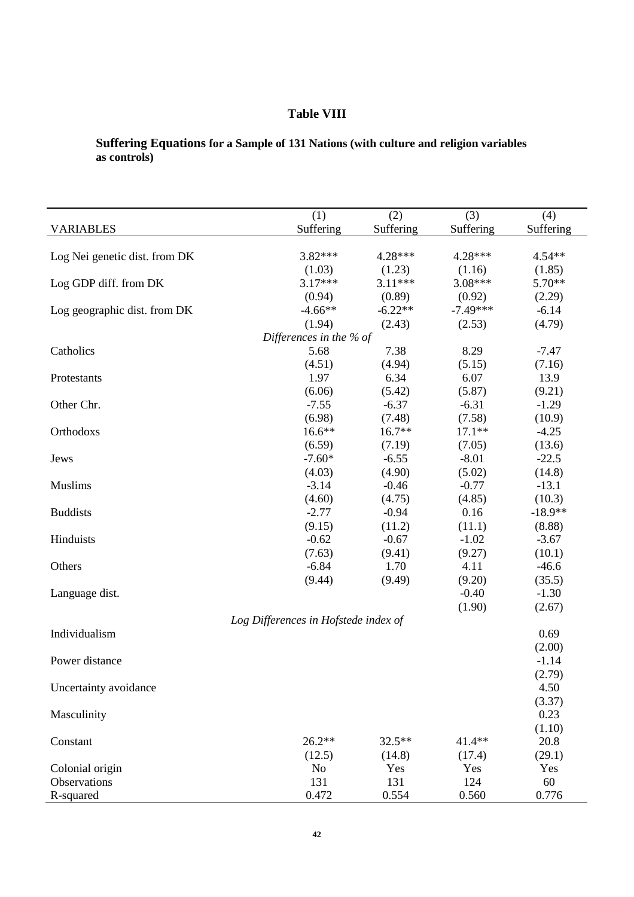# **Table VIII**

**Suffering Equations for a Sample of 131 Nations (with culture and religion variables as controls)**

|                               | (1)                                  | (2)       | (3)        | (4)       |
|-------------------------------|--------------------------------------|-----------|------------|-----------|
| <b>VARIABLES</b>              | Suffering                            | Suffering | Suffering  | Suffering |
|                               |                                      |           |            |           |
| Log Nei genetic dist. from DK | 3.82***                              | 4.28***   | 4.28***    | $4.54**$  |
|                               | (1.03)                               | (1.23)    | (1.16)     | (1.85)    |
| Log GDP diff. from DK         | $3.17***$                            | $3.11***$ | $3.08***$  | 5.70**    |
|                               | (0.94)                               | (0.89)    | (0.92)     | (2.29)    |
| Log geographic dist. from DK  | $-4.66**$                            | $-6.22**$ | $-7.49***$ | $-6.14$   |
|                               | (1.94)                               | (2.43)    | (2.53)     | (4.79)    |
|                               | Differences in the % of              |           |            |           |
| Catholics                     | 5.68                                 | 7.38      | 8.29       | $-7.47$   |
|                               | (4.51)                               | (4.94)    | (5.15)     | (7.16)    |
| Protestants                   | 1.97                                 | 6.34      | 6.07       | 13.9      |
|                               | (6.06)                               | (5.42)    | (5.87)     | (9.21)    |
| Other Chr.                    | $-7.55$                              | $-6.37$   | $-6.31$    | $-1.29$   |
|                               | (6.98)                               | (7.48)    | (7.58)     | (10.9)    |
| Orthodoxs                     | 16.6**                               | $16.7**$  | $17.1**$   | $-4.25$   |
|                               | (6.59)                               | (7.19)    | (7.05)     | (13.6)    |
| Jews                          | $-7.60*$                             | $-6.55$   | $-8.01$    | $-22.5$   |
|                               | (4.03)                               | (4.90)    | (5.02)     | (14.8)    |
| <b>Muslims</b>                | $-3.14$                              | $-0.46$   | $-0.77$    | $-13.1$   |
|                               | (4.60)                               | (4.75)    | (4.85)     | (10.3)    |
| <b>Buddists</b>               | $-2.77$                              | $-0.94$   | 0.16       | $-18.9**$ |
|                               | (9.15)                               | (11.2)    | (11.1)     | (8.88)    |
| Hinduists                     | $-0.62$                              | $-0.67$   | $-1.02$    | $-3.67$   |
|                               | (7.63)                               | (9.41)    | (9.27)     | (10.1)    |
| Others                        | $-6.84$                              | 1.70      | 4.11       | $-46.6$   |
|                               | (9.44)                               | (9.49)    | (9.20)     | (35.5)    |
| Language dist.                |                                      |           | $-0.40$    | $-1.30$   |
|                               |                                      |           | (1.90)     | (2.67)    |
|                               | Log Differences in Hofstede index of |           |            |           |
| Individualism                 |                                      |           |            | 0.69      |
|                               |                                      |           |            | (2.00)    |
| Power distance                |                                      |           |            | $-1.14$   |
|                               |                                      |           |            | (2.79)    |
| Uncertainty avoidance         |                                      |           |            | 4.50      |
|                               |                                      |           |            | (3.37)    |
| Masculinity                   |                                      |           |            | 0.23      |
|                               |                                      |           |            | (1.10)    |
| Constant                      | $26.2**$                             | $32.5***$ | $41.4**$   | 20.8      |
|                               | (12.5)                               | (14.8)    | (17.4)     | (29.1)    |
| Colonial origin               | N <sub>0</sub>                       | Yes       | Yes        | Yes       |
| Observations                  | 131                                  | 131       | 124        | 60        |
| R-squared                     | 0.472                                | 0.554     | 0.560      | 0.776     |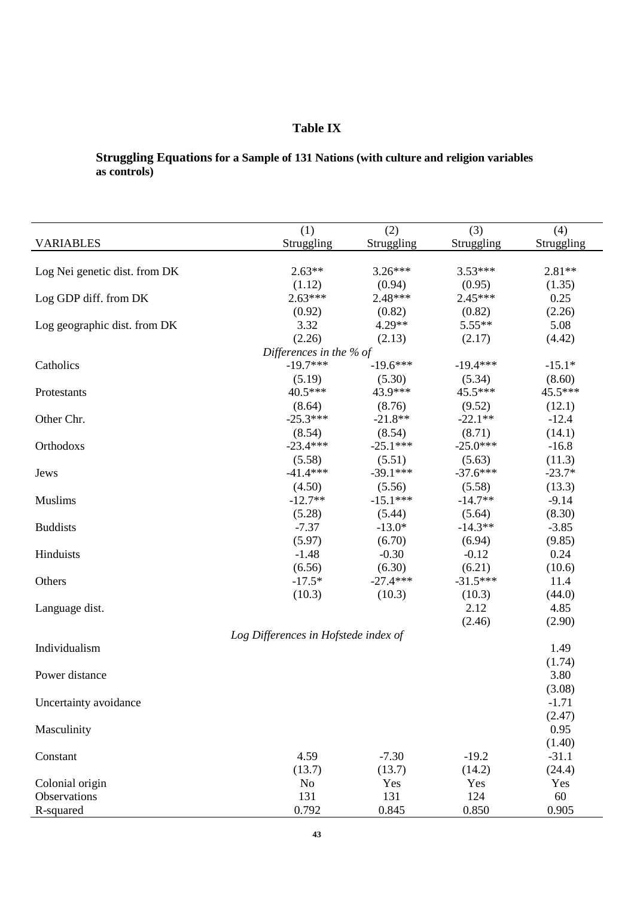# **Table IX**

**Struggling Equations for a Sample of 131 Nations (with culture and religion variables as controls)**

|                               | (1)                                  | (2)               | (3)                 | (4)            |
|-------------------------------|--------------------------------------|-------------------|---------------------|----------------|
| <b>VARIABLES</b>              | Struggling                           | Struggling        | Struggling          | Struggling     |
|                               |                                      |                   |                     |                |
| Log Nei genetic dist. from DK | $2.63**$                             | $3.26***$         | $3.53***$           | $2.81**$       |
| Log GDP diff. from DK         | (1.12)<br>$2.63***$                  | (0.94)<br>2.48*** | (0.95)<br>$2.45***$ | (1.35)<br>0.25 |
|                               | (0.92)                               | (0.82)            | (0.82)              | (2.26)         |
|                               | 3.32                                 | 4.29**            | 5.55**              | 5.08           |
| Log geographic dist. from DK  | (2.26)                               | (2.13)            | (2.17)              | (4.42)         |
|                               | Differences in the % of              |                   |                     |                |
| Catholics                     | $-19.7***$                           | $-19.6***$        | $-19.4***$          | $-15.1*$       |
|                               | (5.19)                               | (5.30)            | (5.34)              | (8.60)         |
| Protestants                   | $40.5***$                            | 43.9***           | $45.5***$           | 45.5***        |
|                               | (8.64)                               | (8.76)            | (9.52)              | (12.1)         |
| Other Chr.                    | $-25.3***$                           | $-21.8**$         | $-22.1**$           | $-12.4$        |
|                               | (8.54)                               | (8.54)            | (8.71)              | (14.1)         |
| Orthodoxs                     | $-23.4***$                           | $-25.1***$        | $-25.0***$          | $-16.8$        |
|                               | (5.58)                               | (5.51)            | (5.63)              | (11.3)         |
| Jews                          | $-41.4***$                           | $-39.1***$        | $-37.6***$          | $-23.7*$       |
|                               | (4.50)                               | (5.56)            | (5.58)              | (13.3)         |
| <b>Muslims</b>                | $-12.7**$                            | $-15.1***$        | $-14.7**$           | $-9.14$        |
|                               | (5.28)                               | (5.44)            | (5.64)              | (8.30)         |
| <b>Buddists</b>               | $-7.37$                              | $-13.0*$          | $-14.3**$           | $-3.85$        |
|                               | (5.97)                               | (6.70)            | (6.94)              | (9.85)         |
| Hinduists                     | $-1.48$                              | $-0.30$           | $-0.12$             | 0.24           |
|                               | (6.56)                               | (6.30)            | (6.21)              | (10.6)         |
| Others                        | $-17.5*$                             | $-27.4***$        | $-31.5***$          | 11.4           |
|                               | (10.3)                               | (10.3)            | (10.3)              | (44.0)         |
| Language dist.                |                                      |                   | 2.12                | 4.85           |
|                               |                                      |                   | (2.46)              | (2.90)         |
|                               | Log Differences in Hofstede index of |                   |                     |                |
| Individualism                 |                                      |                   |                     | 1.49           |
|                               |                                      |                   |                     | (1.74)         |
| Power distance                |                                      |                   |                     | 3.80           |
|                               |                                      |                   |                     | (3.08)         |
| Uncertainty avoidance         |                                      |                   |                     | $-1.71$        |
|                               |                                      |                   |                     | (2.47)         |
| Masculinity                   |                                      |                   |                     | 0.95           |
|                               |                                      |                   |                     | (1.40)         |
| Constant                      | 4.59                                 | $-7.30$           | $-19.2$             | $-31.1$        |
|                               | (13.7)                               | (13.7)            | (14.2)              | (24.4)         |
| Colonial origin               | N <sub>o</sub>                       | Yes               | Yes                 | Yes            |
| Observations                  | 131                                  | 131               | 124                 | 60             |
| R-squared                     | 0.792                                | 0.845             | 0.850               | 0.905          |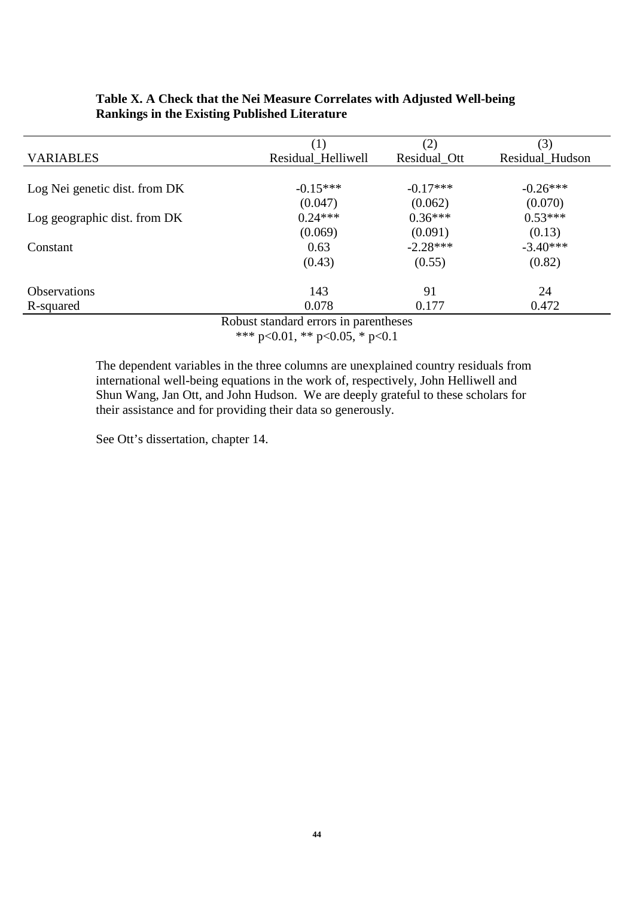|                               | $\left( 1\right)$  | (2)          | (3)             |
|-------------------------------|--------------------|--------------|-----------------|
| <b>VARIABLES</b>              | Residual_Helliwell | Residual Ott | Residual_Hudson |
|                               |                    |              |                 |
| Log Nei genetic dist. from DK | $-0.15***$         | $-0.17***$   | $-0.26***$      |
|                               | (0.047)            | (0.062)      | (0.070)         |
| Log geographic dist. from DK  | $0.24***$          | $0.36***$    | $0.53***$       |
|                               | (0.069)            | (0.091)      | (0.13)          |
| Constant                      | 0.63               | $-2.28***$   | $-3.40***$      |
|                               | (0.43)             | (0.55)       | (0.82)          |
| <b>Observations</b>           | 143                | 91           | 24              |
| R-squared                     | 0.078              | 0.177        | 0.472           |

#### **Table X. A Check that the Nei Measure Correlates with Adjusted Well-being Rankings in the Existing Published Literature**

Robust standard errors in parentheses \*\*\* p<0.01, \*\* p<0.05, \* p<0.1

The dependent variables in the three columns are unexplained country residuals from international well-being equations in the work of, respectively, John Helliwell and Shun Wang, Jan Ott, and John Hudson. We are deeply grateful to these scholars for their assistance and for providing their data so generously.

See Ott's dissertation, chapter 14.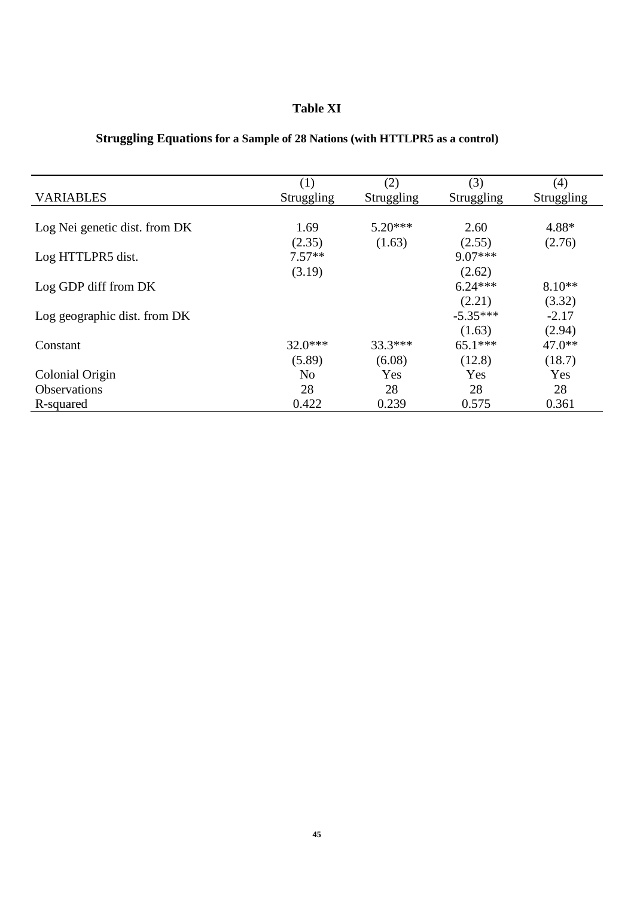## **Table XI**

|                               | (1)            | (2)        | (3)        | (4)        |
|-------------------------------|----------------|------------|------------|------------|
| <b>VARIABLES</b>              | Struggling     | Struggling | Struggling | Struggling |
|                               |                |            |            |            |
| Log Nei genetic dist. from DK | 1.69           | $5.20***$  | 2.60       | 4.88*      |
|                               | (2.35)         | (1.63)     | (2.55)     | (2.76)     |
| Log HTTLPR5 dist.             | $7.57**$       |            | $9.07***$  |            |
|                               | (3.19)         |            | (2.62)     |            |
| Log GDP diff from DK          |                |            | $6.24***$  | $8.10**$   |
|                               |                |            | (2.21)     | (3.32)     |
| Log geographic dist. from DK  |                |            | $-5.35***$ | $-2.17$    |
|                               |                |            | (1.63)     | (2.94)     |
| Constant                      | $32.0***$      | 33.3***    | $65.1***$  | $47.0**$   |
|                               | (5.89)         | (6.08)     | (12.8)     | (18.7)     |
| Colonial Origin               | N <sub>o</sub> | Yes        | Yes        | Yes        |
| <b>Observations</b>           | 28             | 28         | 28         | 28         |
| R-squared                     | 0.422          | 0.239      | 0.575      | 0.361      |

# **Struggling Equations for a Sample of 28 Nations (with HTTLPR5 as a control)**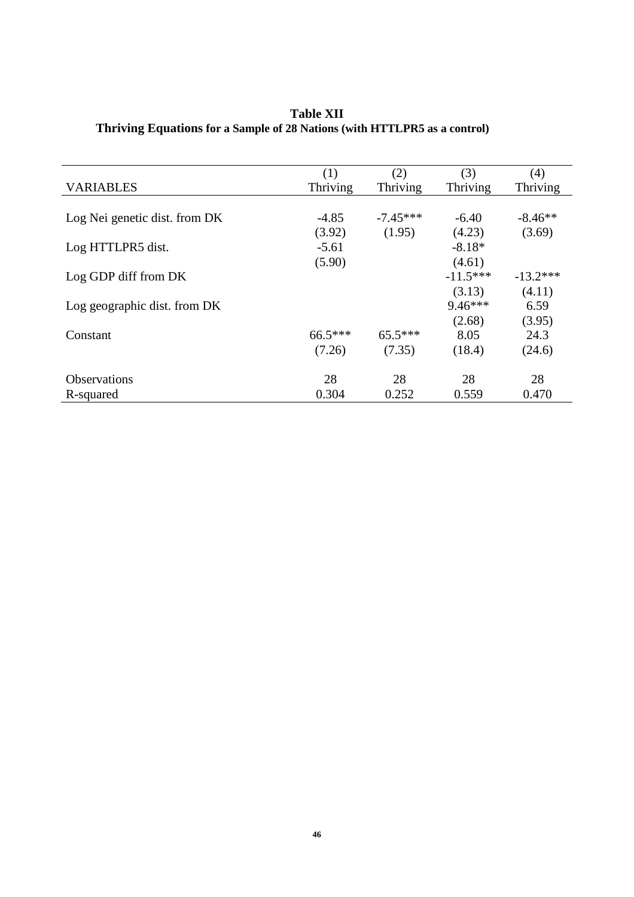|                               | (1)       | (2)        | (3)        | (4)        |
|-------------------------------|-----------|------------|------------|------------|
| <b>VARIABLES</b>              | Thriving  | Thriving   | Thriving   | Thriving   |
|                               |           |            |            |            |
| Log Nei genetic dist. from DK | $-4.85$   | $-7.45***$ | $-6.40$    | $-8.46**$  |
|                               | (3.92)    | (1.95)     | (4.23)     | (3.69)     |
| Log HTTLPR5 dist.             | $-5.61$   |            | $-8.18*$   |            |
|                               | (5.90)    |            | (4.61)     |            |
| Log GDP diff from DK          |           |            | $-11.5***$ | $-13.2***$ |
|                               |           |            | (3.13)     | (4.11)     |
| Log geographic dist. from DK  |           |            | $9.46***$  | 6.59       |
|                               |           |            | (2.68)     | (3.95)     |
| Constant                      | $66.5***$ | $65.5***$  | 8.05       | 24.3       |
|                               | (7.26)    | (7.35)     | (18.4)     | (24.6)     |
|                               |           |            |            |            |
| <b>Observations</b>           | 28        | 28         | 28         | 28         |
| R-squared                     | 0.304     | 0.252      | 0.559      | 0.470      |

**Table XII Thriving Equations for a Sample of 28 Nations (with HTTLPR5 as a control)**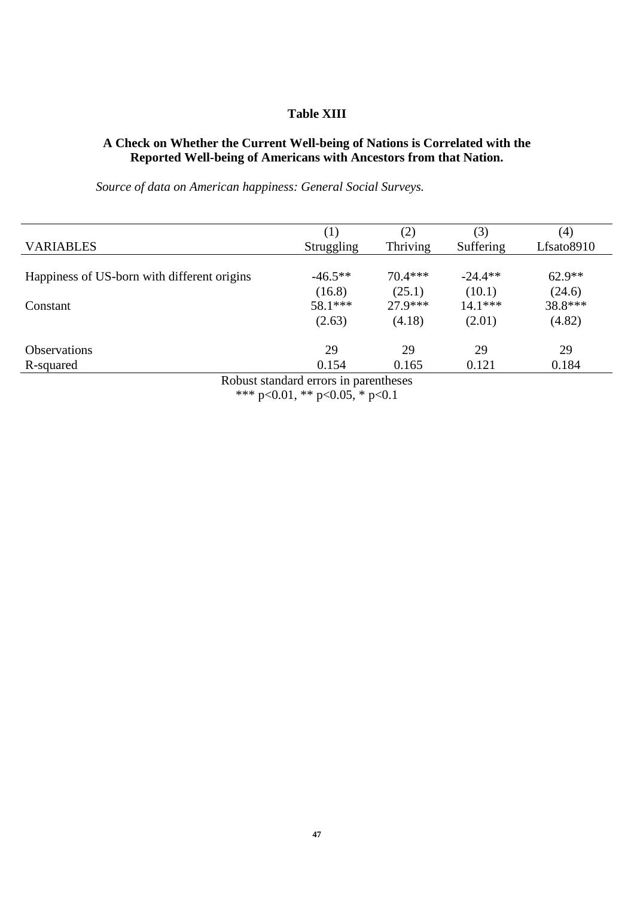### **Table XIII**

### **A Check on Whether the Current Well-being of Nations is Correlated with the Reported Well-being of Americans with Ancestors from that Nation.**

*Source of data on American happiness: General Social Surveys.*

|                                                                                                                                                                                                                                                                                                  | (1)        | (2)       | (3)       | (4)        |  |
|--------------------------------------------------------------------------------------------------------------------------------------------------------------------------------------------------------------------------------------------------------------------------------------------------|------------|-----------|-----------|------------|--|
| <b>VARIABLES</b>                                                                                                                                                                                                                                                                                 | Struggling | Thriving  | Suffering | Lfsato8910 |  |
|                                                                                                                                                                                                                                                                                                  |            |           |           |            |  |
| Happiness of US-born with different origins                                                                                                                                                                                                                                                      | $-46.5**$  | $70.4***$ | $-24.4**$ | $62.9**$   |  |
|                                                                                                                                                                                                                                                                                                  | (16.8)     | (25.1)    | (10.1)    | (24.6)     |  |
| Constant                                                                                                                                                                                                                                                                                         | 58.1***    | $27.9***$ | $14.1***$ | 38.8***    |  |
|                                                                                                                                                                                                                                                                                                  | (2.63)     | (4.18)    | (2.01)    | (4.82)     |  |
| <b>Observations</b>                                                                                                                                                                                                                                                                              | 29         | 29        | 29        | 29         |  |
| R-squared                                                                                                                                                                                                                                                                                        | 0.154      | 0.165     | 0.121     | 0.184      |  |
| $\mathbf{r}$ and $\mathbf{r}$ and $\mathbf{r}$ and $\mathbf{r}$ and $\mathbf{r}$ and $\mathbf{r}$ and $\mathbf{r}$ and $\mathbf{r}$ and $\mathbf{r}$ and $\mathbf{r}$ and $\mathbf{r}$ and $\mathbf{r}$ and $\mathbf{r}$ and $\mathbf{r}$ and $\mathbf{r}$ and $\mathbf{r}$ and $\mathbf{r}$ and |            |           |           |            |  |

Robust standard errors in parentheses \*\*\* p<0.01, \*\* p<0.05, \* p<0.1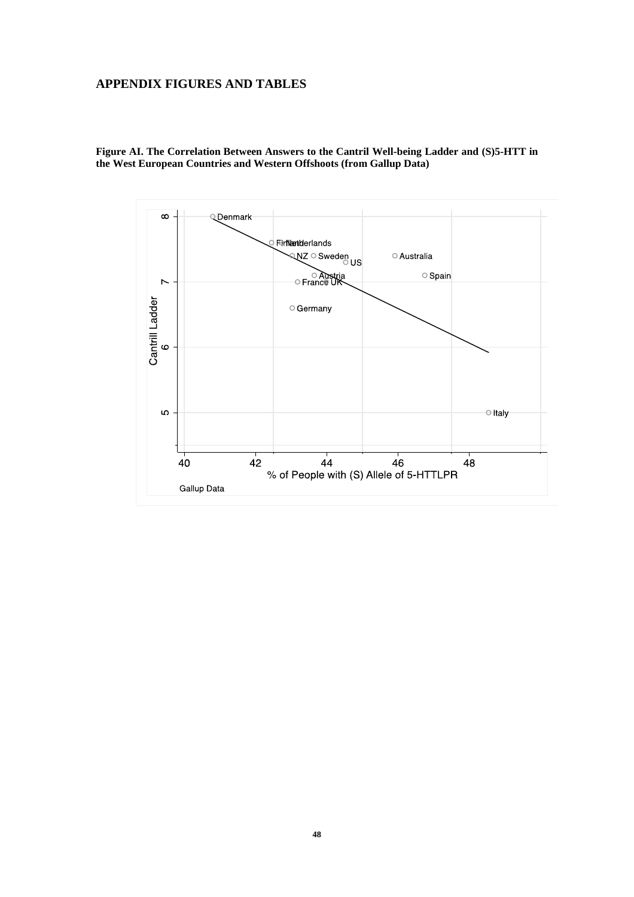#### **APPENDIX FIGURES AND TABLES**

**Figure AI. The Correlation Between Answers to the Cantril Well-being Ladder and (S)5-HTT in the West European Countries and Western Offshoots (from Gallup Data)** 

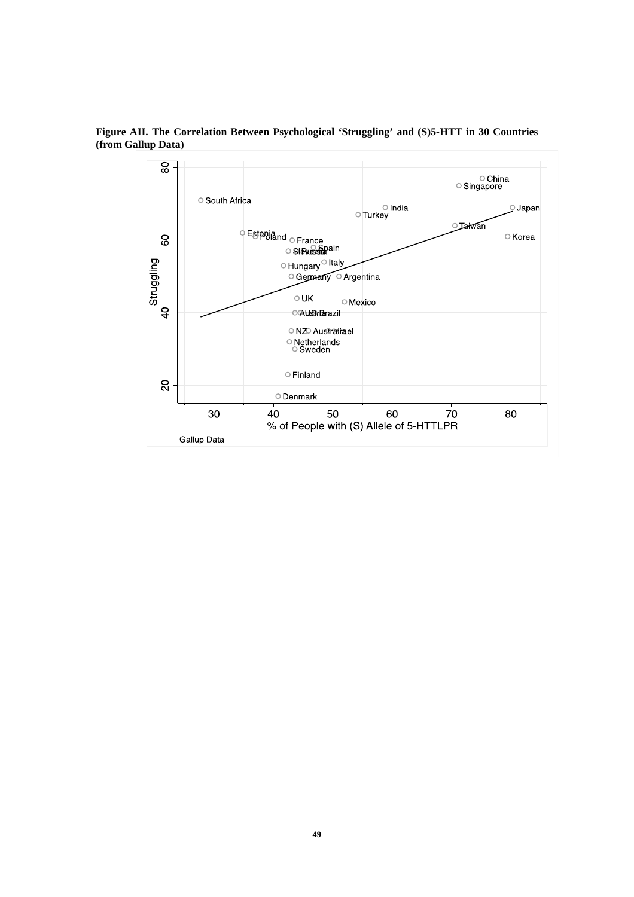

**Figure AII. The Correlation Between Psychological 'Struggling' and (S)5-HTT in 30 Countries (from Gallup Data)**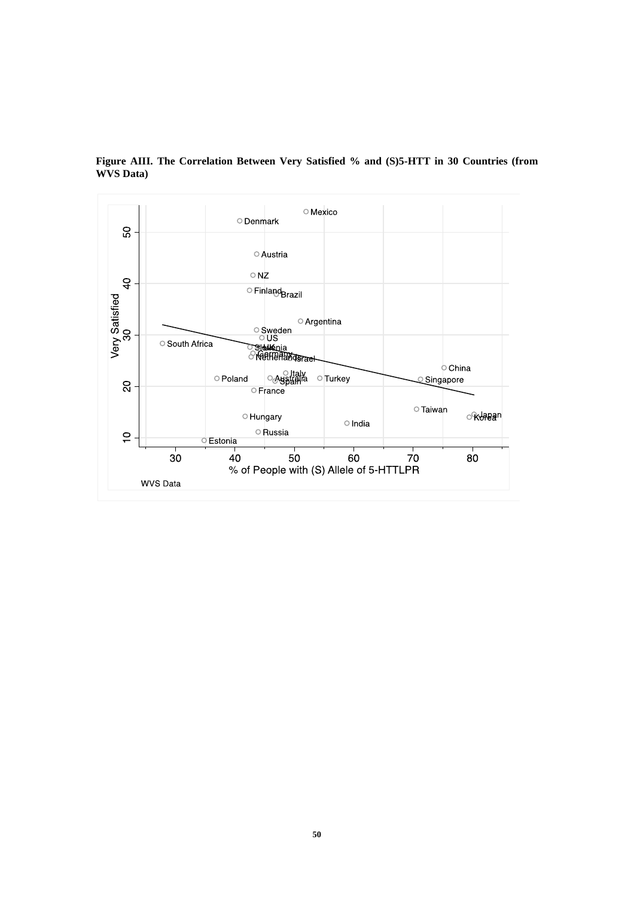

**Figure AIII. The Correlation Between Very Satisfied % and (S)5-HTT in 30 Countries (from WVS Data)**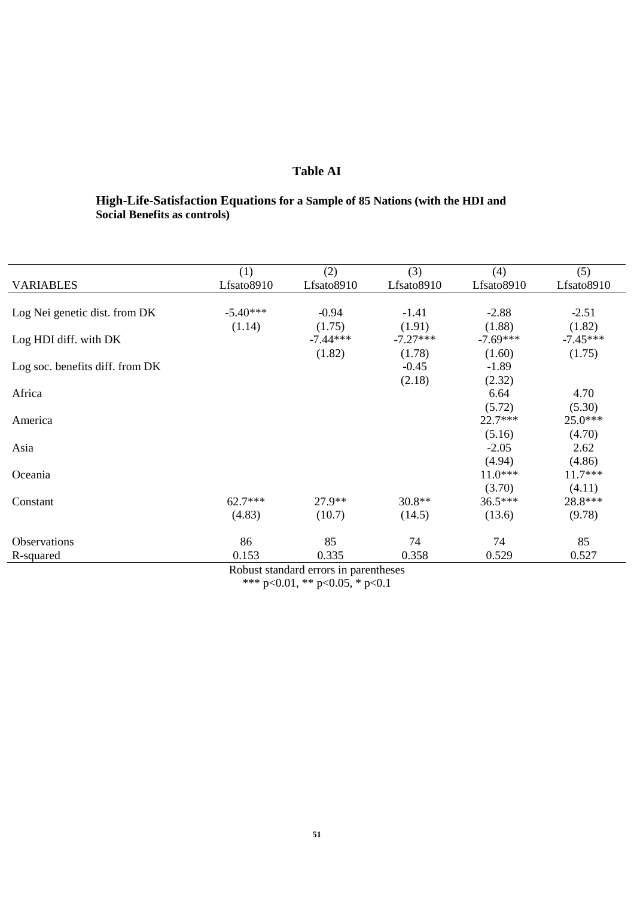### **Table AI**

### **High-Life-Satisfaction Equations for a Sample of 85 Nations (with the HDI and Social Benefits as controls)**

|                                 | (1)        | (2)        | (3)        | (4)        | (5)        |
|---------------------------------|------------|------------|------------|------------|------------|
| <b>VARIABLES</b>                | Lfsato8910 | Lfsato8910 | Lfsato8910 | Lfsato8910 | Lfsato8910 |
|                                 |            |            |            |            |            |
| Log Nei genetic dist. from DK   | $-5.40***$ | $-0.94$    | $-1.41$    | $-2.88$    | $-2.51$    |
|                                 | (1.14)     | (1.75)     | (1.91)     | (1.88)     | (1.82)     |
| Log HDI diff. with DK           |            | $-7.44***$ | $-7.27***$ | $-7.69***$ | $-7.45***$ |
|                                 |            | (1.82)     | (1.78)     | (1.60)     | (1.75)     |
| Log soc. benefits diff. from DK |            |            | $-0.45$    | $-1.89$    |            |
|                                 |            |            | (2.18)     | (2.32)     |            |
| Africa                          |            |            |            | 6.64       | 4.70       |
|                                 |            |            |            | (5.72)     | (5.30)     |
| America                         |            |            |            | 22.7***    | 25.0***    |
|                                 |            |            |            | (5.16)     | (4.70)     |
| Asia                            |            |            |            | $-2.05$    | 2.62       |
|                                 |            |            |            | (4.94)     | (4.86)     |
| Oceania                         |            |            |            | $11.0***$  | $11.7***$  |
|                                 |            |            |            | (3.70)     | (4.11)     |
| Constant                        | $62.7***$  | 27.9**     | $30.8**$   | 36.5***    | 28.8***    |
|                                 | (4.83)     | (10.7)     | (14.5)     | (13.6)     | (9.78)     |
| Observations                    | 86         | 85         | 74         | 74         | 85         |
| R-squared                       | 0.153      | 0.335      | 0.358      | 0.529      | 0.527      |

Robust standard errors in parentheses

\*\*\* p<0.01, \*\* p<0.05, \* p<0.1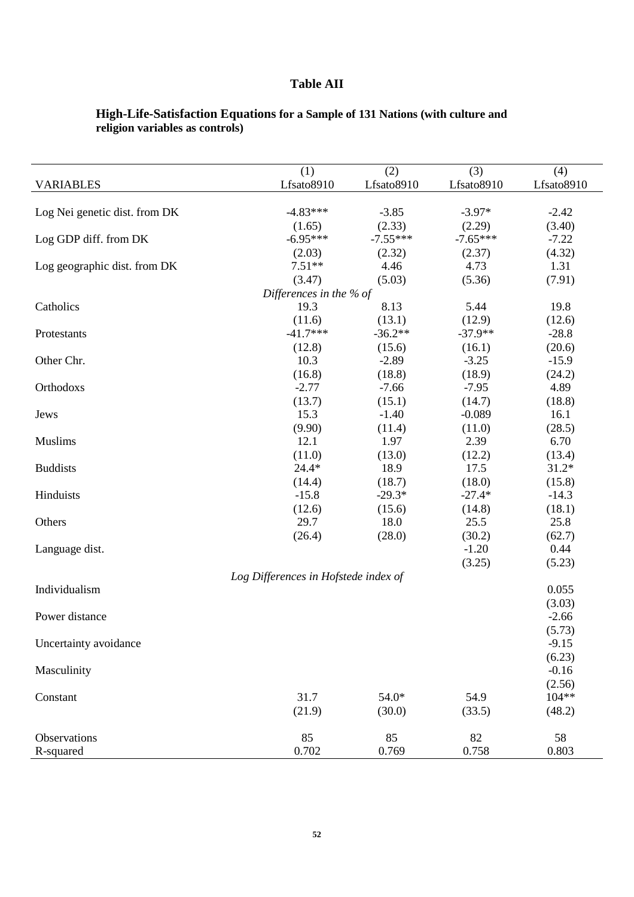## **Table AII**

|                               | (1)<br>(2)                           |                    | (3)                | (4)               |
|-------------------------------|--------------------------------------|--------------------|--------------------|-------------------|
| <b>VARIABLES</b>              | Lfsato8910                           | Lfsato8910         | Lfsato8910         | Lfsato8910        |
|                               |                                      |                    |                    |                   |
| Log Nei genetic dist. from DK | $-4.83***$                           | $-3.85$            | $-3.97*$           | $-2.42$           |
|                               | (1.65)                               | (2.33)             | (2.29)             | (3.40)            |
| Log GDP diff. from DK         | $-6.95***$                           | $-7.55***$         | $-7.65***$         | $-7.22$           |
|                               | (2.03)                               | (2.32)             | (2.37)             | (4.32)            |
| Log geographic dist. from DK  | $7.51**$                             | 4.46               | 4.73               | 1.31              |
|                               | (3.47)                               | (5.03)             | (5.36)             | (7.91)            |
|                               | Differences in the % of              |                    |                    |                   |
| Catholics                     | 19.3                                 | 8.13               | 5.44               | 19.8              |
|                               | (11.6)                               | (13.1)             | (12.9)             | (12.6)            |
| Protestants                   | $-41.7***$                           | $-36.2**$          | $-37.9**$          | $-28.8$           |
|                               | (12.8)                               | (15.6)             | (16.1)             | (20.6)            |
| Other Chr.                    | 10.3                                 | $-2.89$            | $-3.25$            | $-15.9$           |
|                               | (16.8)                               | (18.8)             | (18.9)             | (24.2)            |
| Orthodoxs                     | $-2.77$                              | $-7.66$            | $-7.95$            | 4.89              |
|                               | (13.7)                               | (15.1)             | (14.7)             | (18.8)            |
| Jews                          | 15.3                                 | $-1.40$            | $-0.089$           | 16.1              |
|                               | (9.90)                               | (11.4)             | (11.0)             | (28.5)            |
| <b>Muslims</b>                | 12.1                                 | 1.97               | 2.39               | 6.70              |
|                               | (11.0)<br>$24.4*$                    | (13.0)             | (12.2)             | (13.4)            |
| <b>Buddists</b>               |                                      | 18.9               | 17.5               | $31.2*$           |
| Hinduists                     | (14.4)<br>$-15.8$                    | (18.7)<br>$-29.3*$ | (18.0)<br>$-27.4*$ | (15.8)<br>$-14.3$ |
|                               | (12.6)                               | (15.6)             |                    | (18.1)            |
| Others                        | 29.7                                 | 18.0               | (14.8)<br>25.5     | 25.8              |
|                               | (26.4)                               | (28.0)             | (30.2)             | (62.7)            |
| Language dist.                |                                      |                    | $-1.20$            | 0.44              |
|                               |                                      |                    | (3.25)             | (5.23)            |
|                               | Log Differences in Hofstede index of |                    |                    |                   |
| Individualism                 |                                      |                    |                    | 0.055             |
|                               |                                      |                    |                    | (3.03)            |
| Power distance                |                                      |                    |                    | $-2.66$           |
|                               |                                      |                    |                    | (5.73)            |
| Uncertainty avoidance         |                                      |                    |                    | $-9.15$           |
|                               |                                      |                    |                    | (6.23)            |
| Masculinity                   |                                      |                    |                    | $-0.16$           |
|                               |                                      |                    |                    | (2.56)            |
| Constant                      | 31.7                                 | 54.0*              | 54.9               | 104**             |
|                               | (21.9)                               | (30.0)             | (33.5)             | (48.2)            |
|                               |                                      |                    |                    |                   |
| Observations                  | 85                                   | 85                 | 82                 | 58                |
| R-squared                     | 0.702                                | 0.769              | 0.758              | 0.803             |

#### **High-Life-Satisfaction Equations for a Sample of 131 Nations (with culture and religion variables as controls)**